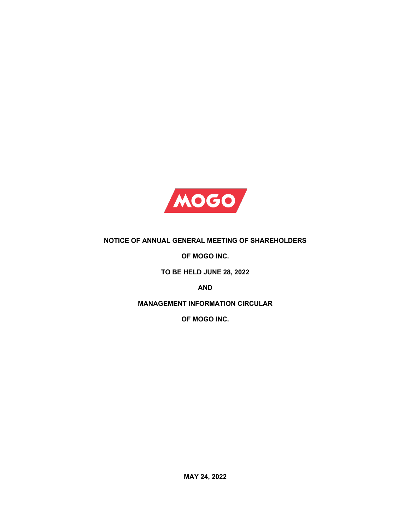

# **NOTICE OF ANNUAL GENERAL MEETING OF SHAREHOLDERS**

**OF MOGO INC.**

**TO BE HELD JUNE 28, 2022**

**AND**

**MANAGEMENT INFORMATION CIRCULAR**

**OF MOGO INC.**

**MAY 24, 2022**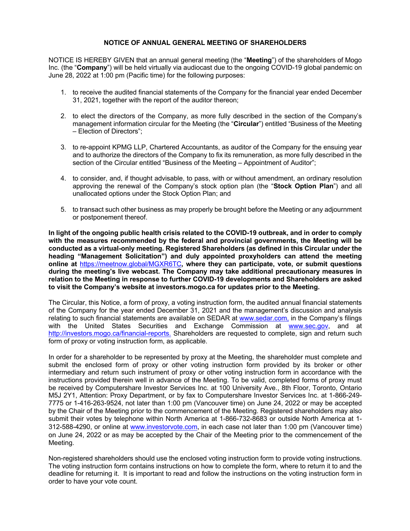### **NOTICE OF ANNUAL GENERAL MEETING OF SHAREHOLDERS**

NOTICE IS HEREBY GIVEN that an annual general meeting (the "**Meeting**") of the shareholders of Mogo Inc. (the "**Company**") will be held virtually via audiocast due to the ongoing COVID-19 global pandemic on June 28, 2022 at 1:00 pm (Pacific time) for the following purposes:

- 1. to receive the audited financial statements of the Company for the financial year ended December 31, 2021, together with the report of the auditor thereon;
- 2. to elect the directors of the Company, as more fully described in the section of the Company's management information circular for the Meeting (the "**Circular**") entitled "Business of the Meeting – Election of Directors";
- 3. to re-appoint KPMG LLP, Chartered Accountants, as auditor of the Company for the ensuing year and to authorize the directors of the Company to fix its remuneration, as more fully described in the section of the Circular entitled "Business of the Meeting – Appointment of Auditor";
- 4. to consider, and, if thought advisable, to pass, with or without amendment, an ordinary resolution approving the renewal of the Company's stock option plan (the "**Stock Option Plan**") and all unallocated options under the Stock Option Plan; and
- 5. to transact such other business as may properly be brought before the Meeting or any adjournment or postponement thereof.

**In light of the ongoing public health crisis related to the COVID-19 outbreak, and in order to comply with the measures recommended by the federal and provincial governments, the Meeting will be conducted as a virtual-only meeting. Registered Shareholders (as defined in this Circular under the heading "Management Solicitation") and duly appointed proxyholders can attend the meeting online at** https://meetnow.global/MGXR6TC**, where they can participate, vote, or submit questions during the meeting's live webcast. The Company may take additional precautionary measures in relation to the Meeting in response to further COVID-19 developments and Shareholders are asked to visit the Company's website at investors.mogo.ca for updates prior to the Meeting.** 

The Circular, this Notice, a form of proxy, a voting instruction form, the audited annual financial statements of the Company for the year ended December 31, 2021 and the management's discussion and analysis relating to such financial statements are available on SEDAR at www.sedar.com, in the Company's filings with the United States Securities and Exchange Commission at www.sec.gov, and at http://investors.mogo.ca/financial-reports. Shareholders are requested to complete, sign and return such form of proxy or voting instruction form, as applicable.

In order for a shareholder to be represented by proxy at the Meeting, the shareholder must complete and submit the enclosed form of proxy or other voting instruction form provided by its broker or other intermediary and return such instrument of proxy or other voting instruction form in accordance with the instructions provided therein well in advance of the Meeting. To be valid, completed forms of proxy must be received by Computershare Investor Services Inc. at 100 University Ave., 8th Floor, Toronto, Ontario M5J 2Y1, Attention: Proxy Department, or by fax to Computershare Investor Services Inc. at 1-866-249- 7775 or 1-416-263-9524, not later than 1:00 pm (Vancouver time) on June 24, 2022 or may be accepted by the Chair of the Meeting prior to the commencement of the Meeting. Registered shareholders may also submit their votes by telephone within North America at 1-866-732-8683 or outside North America at 1- 312-588-4290, or online at www.investorvote.com, in each case not later than 1:00 pm (Vancouver time) on June 24, 2022 or as may be accepted by the Chair of the Meeting prior to the commencement of the Meeting.

Non-registered shareholders should use the enclosed voting instruction form to provide voting instructions. The voting instruction form contains instructions on how to complete the form, where to return it to and the deadline for returning it. It is important to read and follow the instructions on the voting instruction form in order to have your vote count.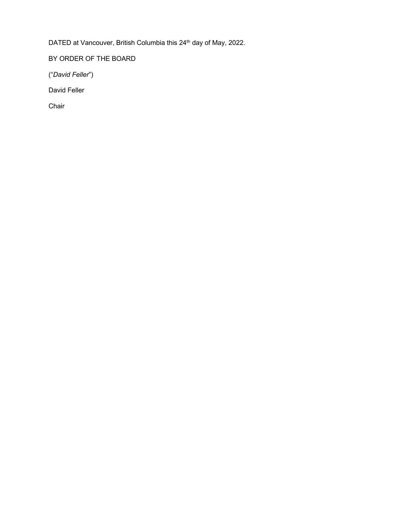DATED at Vancouver, British Columbia this 24<sup>th</sup> day of May, 2022.

BY ORDER OF THE BOARD

("*David Feller*")

David Feller

Chair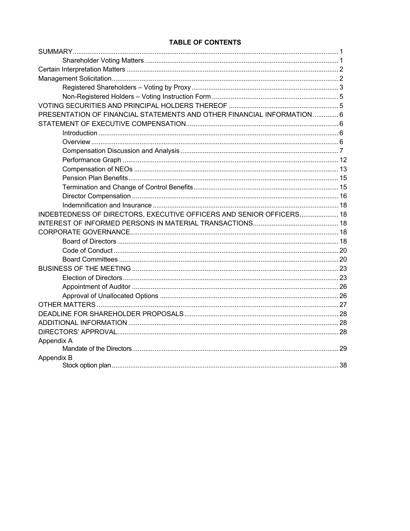# **TABLE OF CONTENTS**

| PRESENTATION OF FINANCIAL STATEMENTS AND OTHER FINANCIAL INFORMATION 6 |  |
|------------------------------------------------------------------------|--|
|                                                                        |  |
|                                                                        |  |
|                                                                        |  |
|                                                                        |  |
|                                                                        |  |
|                                                                        |  |
|                                                                        |  |
|                                                                        |  |
|                                                                        |  |
|                                                                        |  |
| INDEBTEDNESS OF DIRECTORS, EXECUTIVE OFFICERS AND SENIOR OFFICERS 18   |  |
|                                                                        |  |
|                                                                        |  |
|                                                                        |  |
|                                                                        |  |
|                                                                        |  |
|                                                                        |  |
|                                                                        |  |
|                                                                        |  |
|                                                                        |  |
|                                                                        |  |
|                                                                        |  |
|                                                                        |  |
|                                                                        |  |
| Appendix A                                                             |  |
|                                                                        |  |
| Appendix B                                                             |  |
|                                                                        |  |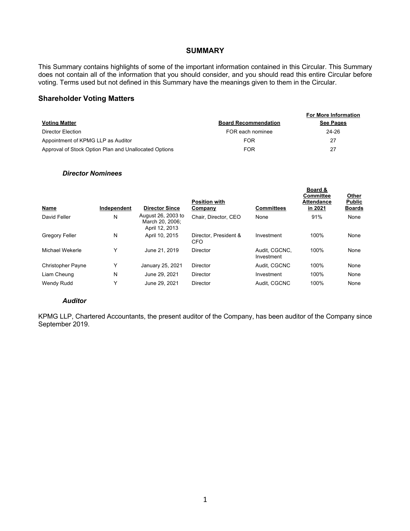#### **SUMMARY**

This Summary contains highlights of some of the important information contained in this Circular. This Summary does not contain all of the information that you should consider, and you should read this entire Circular before voting. Terms used but not defined in this Summary have the meanings given to them in the Circular.

## **Shareholder Voting Matters**

|                                                       |                             | <b>For More Information</b> |
|-------------------------------------------------------|-----------------------------|-----------------------------|
| <b>Voting Matter</b>                                  | <b>Board Recommendation</b> | See Pages                   |
| Director Election                                     | FOR each nominee            | 24-26                       |
| Appointment of KPMG LLP as Auditor                    | <b>FOR</b>                  | 27                          |
| Approval of Stock Option Plan and Unallocated Options | <b>FOR</b>                  | 27                          |

#### *Director Nominees*

| Name                     | Independent | <b>Director Since</b>                                   | <b>Position with</b><br>Company     | <b>Committees</b>           | Board &<br>Committee<br><b>Attendance</b><br>in 2021 | Other<br><b>Public</b><br><b>Boards</b> |
|--------------------------|-------------|---------------------------------------------------------|-------------------------------------|-----------------------------|------------------------------------------------------|-----------------------------------------|
| David Feller             | N           | August 26, 2003 to<br>March 20, 2006;<br>April 12, 2013 | Chair, Director, CEO                | None                        | 91%                                                  | None                                    |
| <b>Gregory Feller</b>    | N           | April 10, 2015                                          | Director, President &<br><b>CFO</b> | Investment                  | 100%                                                 | None                                    |
| Michael Wekerle          | Υ           | June 21, 2019                                           | Director                            | Audit. CGCNC.<br>Investment | 100%                                                 | None                                    |
| <b>Christopher Payne</b> | Υ           | January 25, 2021                                        | Director                            | Audit. CGCNC                | 100%                                                 | None                                    |
| Liam Cheung              | N           | June 29, 2021                                           | <b>Director</b>                     | Investment                  | 100%                                                 | None                                    |
| Wendy Rudd               | Υ           | June 29, 2021                                           | Director                            | Audit, CGCNC                | 100%                                                 | None                                    |

#### *Auditor*

KPMG LLP, Chartered Accountants, the present auditor of the Company, has been auditor of the Company since September 2019.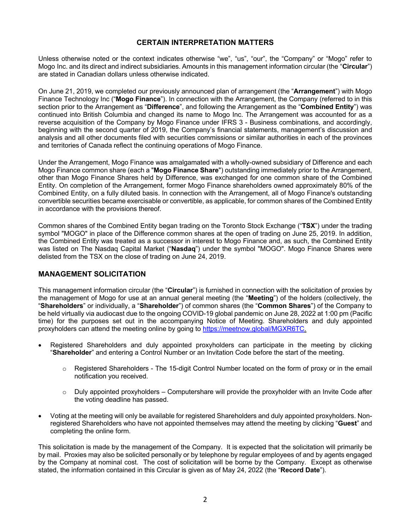# **CERTAIN INTERPRETATION MATTERS**

Unless otherwise noted or the context indicates otherwise "we", "us", "our", the "Company" or "Mogo" refer to Mogo Inc. and its direct and indirect subsidiaries. Amounts in this management information circular (the "**Circular**") are stated in Canadian dollars unless otherwise indicated.

On June 21, 2019, we completed our previously announced plan of arrangement (the "**Arrangement**") with Mogo Finance Technology Inc ("**Mogo Finance**"). In connection with the Arrangement, the Company (referred to in this section prior to the Arrangement as "**Difference**", and following the Arrangement as the "**Combined Entity**") was continued into British Columbia and changed its name to Mogo Inc. The Arrangement was accounted for as a reverse acquisition of the Company by Mogo Finance under IFRS 3 - Business combinations, and accordingly, beginning with the second quarter of 2019, the Company's financial statements, management's discussion and analysis and all other documents filed with securities commissions or similar authorities in each of the provinces and territories of Canada reflect the continuing operations of Mogo Finance.

Under the Arrangement, Mogo Finance was amalgamated with a wholly-owned subsidiary of Difference and each Mogo Finance common share (each a "**Mogo Finance Share**") outstanding immediately prior to the Arrangement, other than Mogo Finance Shares held by Difference, was exchanged for one common share of the Combined Entity. On completion of the Arrangement, former Mogo Finance shareholders owned approximately 80% of the Combined Entity, on a fully diluted basis. In connection with the Arrangement, all of Mogo Finance's outstanding convertible securities became exercisable or convertible, as applicable, for common shares of the Combined Entity in accordance with the provisions thereof.

Common shares of the Combined Entity began trading on the Toronto Stock Exchange ("**TSX**") under the trading symbol "MOGO" in place of the Difference common shares at the open of trading on June 25, 2019. In addition, the Combined Entity was treated as a successor in interest to Mogo Finance and, as such, the Combined Entity was listed on The Nasdaq Capital Market ("**Nasdaq**") under the symbol "MOGO". Mogo Finance Shares were delisted from the TSX on the close of trading on June 24, 2019.

# **MANAGEMENT SOLICITATION**

This management information circular (the "**Circular**") is furnished in connection with the solicitation of proxies by the management of Mogo for use at an annual general meeting (the "**Meeting**") of the holders (collectively, the "**Shareholders**" or individually, a "**Shareholder**") of common shares (the "**Common Shares**") of the Company to be held virtually via audiocast due to the ongoing COVID-19 global pandemic on June 28, 2022 at 1:00 pm (Pacific time) for the purposes set out in the accompanying Notice of Meeting. Shareholders and duly appointed proxyholders can attend the meeting online by going to https://meetnow.global/MGXR6TC.

- Registered Shareholders and duly appointed proxyholders can participate in the meeting by clicking "**Shareholder**" and entering a Control Number or an Invitation Code before the start of the meeting.
	- $\circ$  Registered Shareholders The 15-digit Control Number located on the form of proxy or in the email notification you received.
	- $\circ$  Duly appointed proxyholders Computershare will provide the proxyholder with an Invite Code after the voting deadline has passed.
- Voting at the meeting will only be available for registered Shareholders and duly appointed proxyholders. Nonregistered Shareholders who have not appointed themselves may attend the meeting by clicking "**Guest**" and completing the online form.

This solicitation is made by the management of the Company. It is expected that the solicitation will primarily be by mail. Proxies may also be solicited personally or by telephone by regular employees of and by agents engaged by the Company at nominal cost. The cost of solicitation will be borne by the Company. Except as otherwise stated, the information contained in this Circular is given as of May 24, 2022 (the "**Record Date**").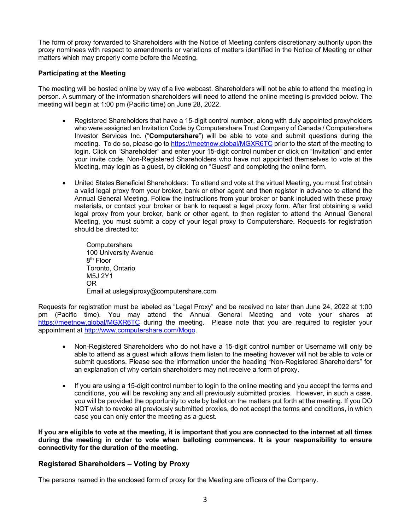The form of proxy forwarded to Shareholders with the Notice of Meeting confers discretionary authority upon the proxy nominees with respect to amendments or variations of matters identified in the Notice of Meeting or other matters which may properly come before the Meeting.

#### **Participating at the Meeting**

The meeting will be hosted online by way of a live webcast. Shareholders will not be able to attend the meeting in person. A summary of the information shareholders will need to attend the online meeting is provided below. The meeting will begin at 1:00 pm (Pacific time) on June 28, 2022.

- Registered Shareholders that have a 15-digit control number, along with duly appointed proxyholders who were assigned an Invitation Code by Computershare Trust Company of Canada / Computershare Investor Services Inc. ("**Computershare**") will be able to vote and submit questions during the meeting. To do so, please go to https://meetnow.global/MGXR6TC prior to the start of the meeting to login. Click on "Shareholder" and enter your 15-digit control number or click on "Invitation" and enter your invite code. Non-Registered Shareholders who have not appointed themselves to vote at the Meeting, may login as a guest, by clicking on "Guest" and completing the online form.
- United States Beneficial Shareholders: To attend and vote at the virtual Meeting, you must first obtain a valid legal proxy from your broker, bank or other agent and then register in advance to attend the Annual General Meeting. Follow the instructions from your broker or bank included with these proxy materials, or contact your broker or bank to request a legal proxy form. After first obtaining a valid legal proxy from your broker, bank or other agent, to then register to attend the Annual General Meeting, you must submit a copy of your legal proxy to Computershare. Requests for registration should be directed to:

**Computershare** 100 University Avenue 8th Floor Toronto, Ontario M5J 2Y1 OR Email at uslegalproxy@computershare.com

Requests for registration must be labeled as "Legal Proxy" and be received no later than June 24, 2022 at 1:00 pm (Pacific time). You may attend the Annual General Meeting and vote your shares at https://meetnow.global/MGXR6TC during the meeting. Please note that you are required to register your appointment at http://www.computershare.com/Mogo.

- Non-Registered Shareholders who do not have a 15-digit control number or Username will only be able to attend as a guest which allows them listen to the meeting however will not be able to vote or submit questions. Please see the information under the heading "Non-Registered Shareholders" for an explanation of why certain shareholders may not receive a form of proxy.
- If you are using a 15-digit control number to login to the online meeting and you accept the terms and conditions, you will be revoking any and all previously submitted proxies. However, in such a case, you will be provided the opportunity to vote by ballot on the matters put forth at the meeting. If you DO NOT wish to revoke all previously submitted proxies, do not accept the terms and conditions, in which case you can only enter the meeting as a guest.

**If you are eligible to vote at the meeting, it is important that you are connected to the internet at all times during the meeting in order to vote when balloting commences. It is your responsibility to ensure connectivity for the duration of the meeting.** 

# **Registered Shareholders – Voting by Proxy**

The persons named in the enclosed form of proxy for the Meeting are officers of the Company.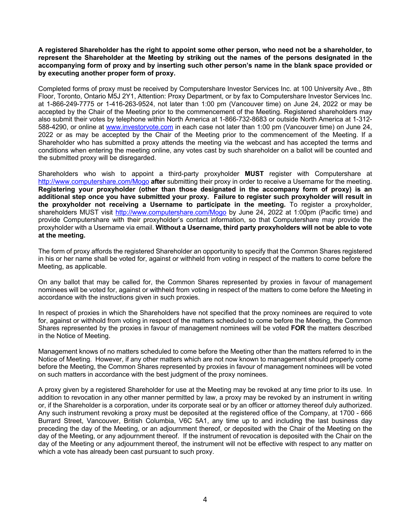#### **A registered Shareholder has the right to appoint some other person, who need not be a shareholder, to represent the Shareholder at the Meeting by striking out the names of the persons designated in the accompanying form of proxy and by inserting such other person's name in the blank space provided or by executing another proper form of proxy.**

Completed forms of proxy must be received by Computershare Investor Services Inc. at 100 University Ave., 8th Floor, Toronto, Ontario M5J 2Y1, Attention: Proxy Department, or by fax to Computershare Investor Services Inc. at 1-866-249-7775 or 1-416-263-9524, not later than 1:00 pm (Vancouver time) on June 24, 2022 or may be accepted by the Chair of the Meeting prior to the commencement of the Meeting. Registered shareholders may also submit their votes by telephone within North America at 1-866-732-8683 or outside North America at 1-312- 588-4290, or online at www.investorvote.com in each case not later than 1:00 pm (Vancouver time) on June 24, 2022 or as may be accepted by the Chair of the Meeting prior to the commencement of the Meeting. If a Shareholder who has submitted a proxy attends the meeting via the webcast and has accepted the terms and conditions when entering the meeting online, any votes cast by such shareholder on a ballot will be counted and the submitted proxy will be disregarded.

Shareholders who wish to appoint a third-party proxyholder **MUST** register with Computershare at http://www.computershare.com/Mogo **after** submitting their proxy in order to receive a Username for the meeting. **Registering your proxyholder (other than those designated in the accompany form of proxy) is an additional step once you have submitted your proxy. Failure to register such proxyholder will result in the proxyholder not receiving a Username to participate in the meeting.** To register a proxyholder, shareholders MUST visit http://www.computershare.com/Mogo by June 24, 2022 at 1:00pm (Pacific time) and provide Computershare with their proxyholder's contact information, so that Computershare may provide the proxyholder with a Username via email. **Without a Username, third party proxyholders will not be able to vote at the meeting.**

The form of proxy affords the registered Shareholder an opportunity to specify that the Common Shares registered in his or her name shall be voted for, against or withheld from voting in respect of the matters to come before the Meeting, as applicable.

On any ballot that may be called for, the Common Shares represented by proxies in favour of management nominees will be voted for, against or withheld from voting in respect of the matters to come before the Meeting in accordance with the instructions given in such proxies.

In respect of proxies in which the Shareholders have not specified that the proxy nominees are required to vote for, against or withhold from voting in respect of the matters scheduled to come before the Meeting, the Common Shares represented by the proxies in favour of management nominees will be voted **FOR** the matters described in the Notice of Meeting.

Management knows of no matters scheduled to come before the Meeting other than the matters referred to in the Notice of Meeting. However, if any other matters which are not now known to management should properly come before the Meeting, the Common Shares represented by proxies in favour of management nominees will be voted on such matters in accordance with the best judgment of the proxy nominees.

A proxy given by a registered Shareholder for use at the Meeting may be revoked at any time prior to its use. In addition to revocation in any other manner permitted by law, a proxy may be revoked by an instrument in writing or, if the Shareholder is a corporation, under its corporate seal or by an officer or attorney thereof duly authorized. Any such instrument revoking a proxy must be deposited at the registered office of the Company, at 1700 - 666 Burrard Street, Vancouver, British Columbia, V6C 5A1, any time up to and including the last business day preceding the day of the Meeting, or an adjournment thereof, or deposited with the Chair of the Meeting on the day of the Meeting, or any adjournment thereof. If the instrument of revocation is deposited with the Chair on the day of the Meeting or any adjournment thereof, the instrument will not be effective with respect to any matter on which a vote has already been cast pursuant to such proxy.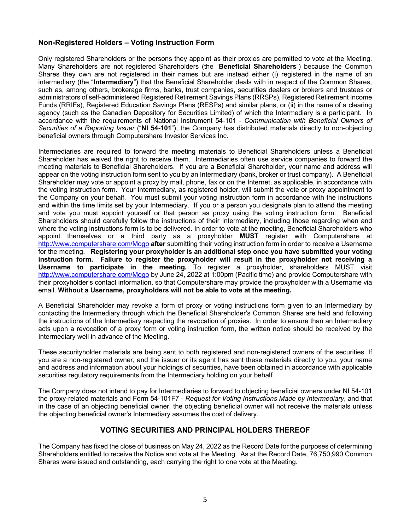# **Non-Registered Holders – Voting Instruction Form**

Only registered Shareholders or the persons they appoint as their proxies are permitted to vote at the Meeting. Many Shareholders are not registered Shareholders (the "**Beneficial Shareholders**") because the Common Shares they own are not registered in their names but are instead either (i) registered in the name of an intermediary (the "**Intermediary**") that the Beneficial Shareholder deals with in respect of the Common Shares, such as, among others, brokerage firms, banks, trust companies, securities dealers or brokers and trustees or administrators of self-administered Registered Retirement Savings Plans (RRSPs), Registered Retirement Income Funds (RRIFs), Registered Education Savings Plans (RESPs) and similar plans, or (ii) in the name of a clearing agency (such as the Canadian Depository for Securities Limited) of which the Intermediary is a participant. In accordance with the requirements of National Instrument 54-101 *- Communication with Beneficial Owners of Securities of a Reporting Issuer* ("**NI 54-101**"), the Company has distributed materials directly to non-objecting beneficial owners through Computershare Investor Services Inc.

Intermediaries are required to forward the meeting materials to Beneficial Shareholders unless a Beneficial Shareholder has waived the right to receive them. Intermediaries often use service companies to forward the meeting materials to Beneficial Shareholders. If you are a Beneficial Shareholder, your name and address will appear on the voting instruction form sent to you by an Intermediary (bank, broker or trust company). A Beneficial Shareholder may vote or appoint a proxy by mail, phone, fax or on the Internet, as applicable, in accordance with the voting instruction form. Your Intermediary, as registered holder, will submit the vote or proxy appointment to the Company on your behalf. You must submit your voting instruction form in accordance with the instructions and within the time limits set by your Intermediary. If you or a person you designate plan to attend the meeting and vote you must appoint yourself or that person as proxy using the voting instruction form. Beneficial Shareholders should carefully follow the instructions of their Intermediary, including those regarding when and where the voting instructions form is to be delivered. In order to vote at the meeting, Beneficial Shareholders who appoint themselves or a third party as a proxyholder **MUST** register with Computershare at http://www.computershare.com/Mogo **after** submitting their voting instruction form in order to receive a Username for the meeting. **Registering your proxyholder is an additional step once you have submitted your voting instruction form. Failure to register the proxyholder will result in the proxyholder not receiving a Username to participate in the meeting.** To register a proxyholder, shareholders MUST visit http://www.computershare.com/Mogo by June 24, 2022 at 1:00pm (Pacific time) and provide Computershare with their proxyholder's contact information, so that Computershare may provide the proxyholder with a Username via email. **Without a Username, proxyholders will not be able to vote at the meeting.**

A Beneficial Shareholder may revoke a form of proxy or voting instructions form given to an Intermediary by contacting the Intermediary through which the Beneficial Shareholder's Common Shares are held and following the instructions of the Intermediary respecting the revocation of proxies. In order to ensure than an Intermediary acts upon a revocation of a proxy form or voting instruction form, the written notice should be received by the Intermediary well in advance of the Meeting.

These securityholder materials are being sent to both registered and non-registered owners of the securities. If you are a non-registered owner, and the issuer or its agent has sent these materials directly to you, your name and address and information about your holdings of securities, have been obtained in accordance with applicable securities regulatory requirements from the Intermediary holding on your behalf.

The Company does not intend to pay for Intermediaries to forward to objecting beneficial owners under NI 54-101 the proxy-related materials and Form 54-101F7 - *Request for Voting Instructions Made by Intermediary*, and that in the case of an objecting beneficial owner, the objecting beneficial owner will not receive the materials unless the objecting beneficial owner's Intermediary assumes the cost of delivery.

# **VOTING SECURITIES AND PRINCIPAL HOLDERS THEREOF**

The Company has fixed the close of business on May 24, 2022 as the Record Date for the purposes of determining Shareholders entitled to receive the Notice and vote at the Meeting. As at the Record Date, 76,750,990 Common Shares were issued and outstanding, each carrying the right to one vote at the Meeting.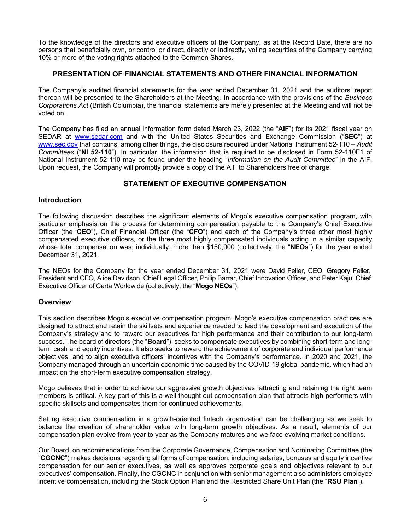To the knowledge of the directors and executive officers of the Company, as at the Record Date, there are no persons that beneficially own, or control or direct, directly or indirectly, voting securities of the Company carrying 10% or more of the voting rights attached to the Common Shares.

# **PRESENTATION OF FINANCIAL STATEMENTS AND OTHER FINANCIAL INFORMATION**

The Company's audited financial statements for the year ended December 31, 2021 and the auditors' report thereon will be presented to the Shareholders at the Meeting. In accordance with the provisions of the *Business Corporations Act* (British Columbia), the financial statements are merely presented at the Meeting and will not be voted on.

The Company has filed an annual information form dated March 23, 2022 (the "**AIF**") for its 2021 fiscal year on SEDAR at www.sedar.com and with the United States Securities and Exchange Commission ("**SEC**") at www.sec.gov that contains, among other things, the disclosure required under National Instrument 52-110 – *Audit Committees* ("**NI 52-110**"). In particular, the information that is required to be disclosed in Form 52-110F1 of National Instrument 52-110 may be found under the heading "*Information on the Audit Committee*" in the AIF. Upon request, the Company will promptly provide a copy of the AIF to Shareholders free of charge.

# **STATEMENT OF EXECUTIVE COMPENSATION**

## **Introduction**

The following discussion describes the significant elements of Mogo's executive compensation program, with particular emphasis on the process for determining compensation payable to the Company's Chief Executive Officer (the "**CEO**"), Chief Financial Officer (the "**CFO**") and each of the Company's three other most highly compensated executive officers, or the three most highly compensated individuals acting in a similar capacity whose total compensation was, individually, more than \$150,000 (collectively, the "**NEOs**") for the year ended December 31, 2021.

The NEOs for the Company for the year ended December 31, 2021 were David Feller, CEO, Gregory Feller, President and CFO, Alice Davidson, Chief Legal Officer, Philip Barrar, Chief Innovation Officer, and Peter Kaju, Chief Executive Officer of Carta Worldwide (collectively, the "**Mogo NEOs**").

# **Overview**

This section describes Mogo's executive compensation program. Mogo's executive compensation practices are designed to attract and retain the skillsets and experience needed to lead the development and execution of the Company's strategy and to reward our executives for high performance and their contribution to our long-term success. The board of directors (the "**Board**") seeks to compensate executives by combining short-term and longterm cash and equity incentives. It also seeks to reward the achievement of corporate and individual performance objectives, and to align executive officers' incentives with the Company's performance. In 2020 and 2021, the Company managed through an uncertain economic time caused by the COVID-19 global pandemic, which had an impact on the short-term executive compensation strategy.

Mogo believes that in order to achieve our aggressive growth objectives, attracting and retaining the right team members is critical. A key part of this is a well thought out compensation plan that attracts high performers with specific skillsets and compensates them for continued achievements.

Setting executive compensation in a growth-oriented fintech organization can be challenging as we seek to balance the creation of shareholder value with long-term growth objectives. As a result, elements of our compensation plan evolve from year to year as the Company matures and we face evolving market conditions.

Our Board, on recommendations from the Corporate Governance, Compensation and Nominating Committee (the "**CGCNC**") makes decisions regarding all forms of compensation, including salaries, bonuses and equity incentive compensation for our senior executives, as well as approves corporate goals and objectives relevant to our executives' compensation. Finally, the CGCNC in conjunction with senior management also administers employee incentive compensation, including the Stock Option Plan and the Restricted Share Unit Plan (the "**RSU Plan**").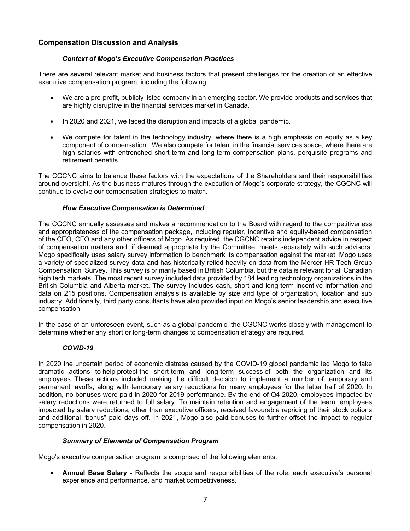# **Compensation Discussion and Analysis**

# *Context of Mogo's Executive Compensation Practices*

There are several relevant market and business factors that present challenges for the creation of an effective executive compensation program, including the following:

- We are a pre-profit, publicly listed company in an emerging sector. We provide products and services that are highly disruptive in the financial services market in Canada.
- In 2020 and 2021, we faced the disruption and impacts of a global pandemic.
- We compete for talent in the technology industry, where there is a high emphasis on equity as a key component of compensation. We also compete for talent in the financial services space, where there are high salaries with entrenched short-term and long-term compensation plans, perquisite programs and retirement benefits.

The CGCNC aims to balance these factors with the expectations of the Shareholders and their responsibilities around oversight. As the business matures through the execution of Mogo's corporate strategy, the CGCNC will continue to evolve our compensation strategies to match.

# *How Executive Compensation is Determined*

The CGCNC annually assesses and makes a recommendation to the Board with regard to the competitiveness and appropriateness of the compensation package, including regular, incentive and equity-based compensation of the CEO, CFO and any other officers of Mogo. As required, the CGCNC retains independent advice in respect of compensation matters and, if deemed appropriate by the Committee, meets separately with such advisors. Mogo specifically uses salary survey information to benchmark its compensation against the market. Mogo uses a variety of specialized survey data and has historically relied heavily on data from the Mercer HR Tech Group Compensation Survey. This survey is primarily based in British Columbia, but the data is relevant for all Canadian high tech markets. The most recent survey included data provided by 184 leading technology organizations in the British Columbia and Alberta market. The survey includes cash, short and long-term incentive information and data on 215 positions. Compensation analysis is available by size and type of organization, location and sub industry. Additionally, third party consultants have also provided input on Mogo's senior leadership and executive compensation.

In the case of an unforeseen event, such as a global pandemic, the CGCNC works closely with management to determine whether any short or long-term changes to compensation strategy are required.

# *COVID-19*

In 2020 the uncertain period of economic distress caused by the COVID-19 global pandemic led Mogo to take dramatic actions to help protect the short-term and long-term success of both the organization and its employees. These actions included making the difficult decision to implement a number of temporary and permanent layoffs, along with temporary salary reductions for many employees for the latter half of 2020. In addition, no bonuses were paid in 2020 for 2019 performance. By the end of Q4 2020, employees impacted by salary reductions were returned to full salary. To maintain retention and engagement of the team, employees impacted by salary reductions, other than executive officers, received favourable repricing of their stock options and additional "bonus" paid days off. In 2021, Mogo also paid bonuses to further offset the impact to regular compensation in 2020.

# *Summary of Elements of Compensation Program*

Mogo's executive compensation program is comprised of the following elements:

• **Annual Base Salary -** Reflects the scope and responsibilities of the role, each executive's personal experience and performance, and market competitiveness.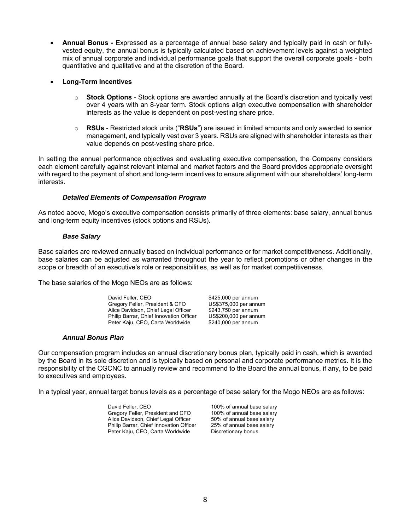• **Annual Bonus -** Expressed as a percentage of annual base salary and typically paid in cash or fullyvested equity, the annual bonus is typically calculated based on achievement levels against a weighted mix of annual corporate and individual performance goals that support the overall corporate goals - both quantitative and qualitative and at the discretion of the Board.

## • **Long-Term Incentives**

- o **Stock Options**  Stock options are awarded annually at the Board's discretion and typically vest over 4 years with an 8-year term. Stock options align executive compensation with shareholder interests as the value is dependent on post-vesting share price.
- o **RSUs** Restricted stock units ("**RSUs**") are issued in limited amounts and only awarded to senior management, and typically vest over 3 years. RSUs are aligned with shareholder interests as their value depends on post-vesting share price.

In setting the annual performance objectives and evaluating executive compensation, the Company considers each element carefully against relevant internal and market factors and the Board provides appropriate oversight with regard to the payment of short and long-term incentives to ensure alignment with our shareholders' long-term interests.

## *Detailed Elements of Compensation Program*

As noted above, Mogo's executive compensation consists primarily of three elements: base salary, annual bonus and long-term equity incentives (stock options and RSUs).

#### *Base Salary*

Base salaries are reviewed annually based on individual performance or for market competitiveness. Additionally, base salaries can be adjusted as warranted throughout the year to reflect promotions or other changes in the scope or breadth of an executive's role or responsibilities, as well as for market competitiveness.

The base salaries of the Mogo NEOs are as follows:

David Feller, CEO \$425,000 per annum Gregory Feller, President & CFO US\$375,000 per annum<br>Alice Davidson, Chief Legal Officer \$243,750 per annum Alice Davidson, Chief Legal Officer Philip Barrar, Chief Innovation Officer US\$200,000 per annum Peter Kaju, CEO, Carta Worldwide \$240,000 per annum

# *Annual Bonus Plan*

Our compensation program includes an annual discretionary bonus plan, typically paid in cash, which is awarded by the Board in its sole discretion and is typically based on personal and corporate performance metrics. It is the responsibility of the CGCNC to annually review and recommend to the Board the annual bonus, if any, to be paid to executives and employees.

In a typical year, annual target bonus levels as a percentage of base salary for the Mogo NEOs are as follows:

David Feller, CEO 100% of annual base salary<br>Gregory Feller, President and CFO 100% of annual base salary Gregory Feller, President and CFO 100% of annual base salary<br>Alice Davidson, Chief Legal Officer 50% of annual base salary Alice Davidson, Chief Legal Officer 50% of annual base salary<br>Philip Barrar, Chief Innovation Officer 25% of annual base salary Philip Barrar, Chief Innovation Officer Peter Kaju, CEO, Carta Worldwide Discretionary bonus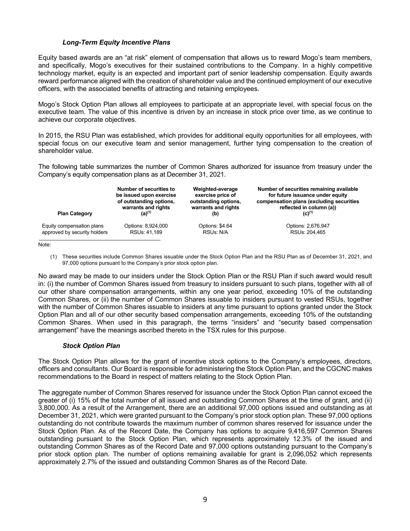# *Long-Term Equity Incentive Plans*

Equity based awards are an "at risk" element of compensation that allows us to reward Mogo's team members, and specifically, Mogo's executives for their sustained contributions to the Company. In a highly competitive technology market, equity is an expected and important part of senior leadership compensation. Equity awards reward performance aligned with the creation of shareholder value and the continued employment of our executive officers, with the associated benefits of attracting and retaining employees.

Mogo's Stock Option Plan allows all employees to participate at an appropriate level, with special focus on the executive team. The value of this incentive is driven by an increase in stock price over time, as we continue to achieve our corporate objectives.

In 2015, the RSU Plan was established, which provides for additional equity opportunities for all employees, with special focus on our executive team and senior management, further tying compensation to the creation of shareholder value.

The following table summarizes the number of Common Shares authorized for issuance from treasury under the Company's equity compensation plans as at December 31, 2021.

| <b>Plan Category</b>         | Number of securities to | Weighted-average     | Number of securities remaining available |
|------------------------------|-------------------------|----------------------|------------------------------------------|
|                              | be issued upon exercise | exercise price of    | for future issuance under equity         |
|                              | of outstanding options, | outstanding options, | compensation plans (excluding securities |
|                              | warrants and rights     | warrants and rights  | reflected in column (a))                 |
|                              | $(a)^{(1)}$             | (b)                  | $(C)^{(1)}$                              |
| Equity compensation plans    | Options: 8,924,000      | Options: \$4.64      | Options: 2,676,947                       |
| approved by security holders | RSUs: 41,189            | RSUs: N/A            | RSUs: 204.465                            |

Note:

(1) These securities include Common Shares issuable under the Stock Option Plan and the RSU Plan as of December 31, 2021, and 97,000 options pursuant to the Company's prior stock option plan.

No award may be made to our insiders under the Stock Option Plan or the RSU Plan if such award would result in: (i) the number of Common Shares issued from treasury to insiders pursuant to such plans, together with all of our other share compensation arrangements, within any one year period, exceeding 10% of the outstanding Common Shares, or (ii) the number of Common Shares issuable to insiders pursuant to vested RSUs, together with the number of Common Shares issuable to insiders at any time pursuant to options granted under the Stock Option Plan and all of our other security based compensation arrangements, exceeding 10% of the outstanding Common Shares. When used in this paragraph, the terms "insiders" and "security based compensation arrangement" have the meanings ascribed thereto in the TSX rules for this purpose.

#### *Stock Option Plan*

The Stock Option Plan allows for the grant of incentive stock options to the Company's employees, directors, officers and consultants. Our Board is responsible for administering the Stock Option Plan, and the CGCNC makes recommendations to the Board in respect of matters relating to the Stock Option Plan.

The aggregate number of Common Shares reserved for issuance under the Stock Option Plan cannot exceed the greater of (i) 15% of the total number of all issued and outstanding Common Shares at the time of grant, and (ii) 3,800,000. As a result of the Arrangement, there are an additional 97,000 options issued and outstanding as at December 31, 2021, which were granted pursuant to the Company's prior stock option plan. These 97,000 options outstanding do not contribute towards the maximum number of common shares reserved for issuance under the Stock Option Plan. As of the Record Date, the Company has options to acquire 9,416,597 Common Shares outstanding pursuant to the Stock Option Plan, which represents approximately 12.3% of the issued and outstanding Common Shares as of the Record Date and 97,000 options outstanding pursuant to the Company's prior stock option plan. The number of options remaining available for grant is 2,096,052 which represents approximately 2.7% of the issued and outstanding Common Shares as of the Record Date.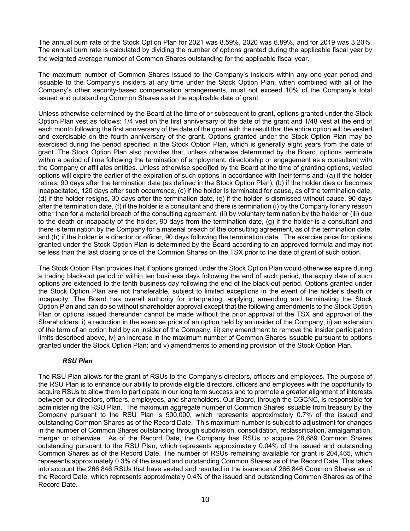The annual burn rate of the Stock Option Plan for 2021 was 8.59%, 2020 was 6.89%, and for 2019 was 3.20%. The annual burn rate is calculated by dividing the number of options granted during the applicable fiscal year by the weighted average number of Common Shares outstanding for the applicable fiscal year.

The maximum number of Common Shares issued to the Company's insiders within any one-year period and issuable to the Company's insiders at any time under the Stock Option Plan, when combined with all of the Company's other security-based compensation arrangements, must not exceed 10% of the Company's total issued and outstanding Common Shares as at the applicable date of grant.

Unless otherwise determined by the Board at the time of or subsequent to grant, options granted under the Stock Option Plan vest as follows: 1/4 vest on the first anniversary of the date of the grant and 1/48 vest at the end of each month following the first anniversary of the date of the grant with the result that the entire option will be vested and exercisable on the fourth anniversary of the grant. Options granted under the Stock Option Plan may be exercised during the period specified in the Stock Option Plan, which is generally eight years from the date of grant. The Stock Option Plan also provides that, unless otherwise determined by the Board, options terminate within a period of time following the termination of employment, directorship or engagement as a consultant with the Company or affiliates entities. Unless otherwise specified by the Board at the time of granting options, vested options will expire the earlier of the expiration of such options in accordance with their terms and: (a) if the holder retires, 90 days after the termination date (as defined in the Stock Option Plan), (b) if the holder dies or becomes incapacitated, 120 days after such occurrence, (c) if the holder is terminated for cause, as of the termination date, (d) if the holder resigns, 30 days after the termination date, (e) if the holder is dismissed without cause, 90 days after the termination date, (f) if the holder is a consultant and there is termination (i) by the Company for any reason other than for a material breach of the consulting agreement, (ii) by voluntary termination by the holder or (iii) due to the death or incapacity of the holder, 90 days from the termination date, (g) if the holder is a consultant and there is termination by the Company for a material breach of the consulting agreement, as of the termination date, and (h) if the holder is a director or officer, 90 days following the termination date. The exercise price for options granted under the Stock Option Plan is determined by the Board according to an approved formula and may not be less than the last closing price of the Common Shares on the TSX prior to the date of grant of such option.

The Stock Option Plan provides that if options granted under the Stock Option Plan would otherwise expire during a trading black-out period or within ten business days following the end of such period, the expiry date of such options are extended to the tenth business day following the end of the black-out period. Options granted under the Stock Option Plan are not transferable, subject to limited exceptions in the event of the holder's death or incapacity. The Board has overall authority for interpreting, applying, amending and terminating the Stock Option Plan and can do so without shareholder approval except that the following amendments to the Stock Option Plan or options issued thereunder cannot be made without the prior approval of the TSX and approval of the Shareholders: i) a reduction in the exercise price of an option held by an insider of the Company, ii) an extension of the term of an option held by an insider of the Company, iii) any amendment to remove the insider participation limits described above, iv) an increase in the maximum number of Common Shares issuable pursuant to options granted under the Stock Option Plan; and v) amendments to amending provision of the Stock Option Plan.

# *RSU Plan*

The RSU Plan allows for the grant of RSUs to the Company's directors, officers and employees. The purpose of the RSU Plan is to enhance our ability to provide eligible directors, officers and employees with the opportunity to acquire RSUs to allow them to participate in our long term success and to promote a greater alignment of interests between our directors, officers, employees, and shareholders. Our Board, through the CGCNC, is responsible for administering the RSU Plan. The maximum aggregate number of Common Shares issuable from treasury by the Company pursuant to the RSU Plan is 500,000, which represents approximately 0.7% of the issued and outstanding Common Shares as of the Record Date. This maximum number is subject to adjustment for changes in the number of Common Shares outstanding through subdivision, consolidation, reclassification, amalgamation, merger or otherwise. As of the Record Date, the Company has RSUs to acquire 28,689 Common Shares outstanding pursuant to the RSU Plan, which represents approximately 0.04% of the issued and outstanding Common Shares as of the Record Date. The number of RSUs remaining available for grant is 204,465, which represents approximately 0.3% of the issued and outstanding Common Shares as of the Record Date. This takes into account the 266,846 RSUs that have vested and resulted in the issuance of 266,846 Common Shares as of the Record Date, which represents approximately 0.4% of the issued and outstanding Common Shares as of the Record Date.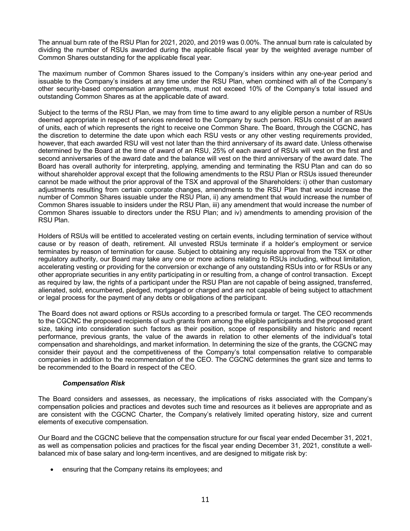The annual burn rate of the RSU Plan for 2021, 2020, and 2019 was 0.00%. The annual burn rate is calculated by dividing the number of RSUs awarded during the applicable fiscal year by the weighted average number of Common Shares outstanding for the applicable fiscal year.

The maximum number of Common Shares issued to the Company's insiders within any one-year period and issuable to the Company's insiders at any time under the RSU Plan, when combined with all of the Company's other security-based compensation arrangements, must not exceed 10% of the Company's total issued and outstanding Common Shares as at the applicable date of award.

Subject to the terms of the RSU Plan, we may from time to time award to any eligible person a number of RSUs deemed appropriate in respect of services rendered to the Company by such person. RSUs consist of an award of units, each of which represents the right to receive one Common Share. The Board, through the CGCNC, has the discretion to determine the date upon which each RSU vests or any other vesting requirements provided, however, that each awarded RSU will vest not later than the third anniversary of its award date. Unless otherwise determined by the Board at the time of award of an RSU, 25% of each award of RSUs will vest on the first and second anniversaries of the award date and the balance will vest on the third anniversary of the award date. The Board has overall authority for interpreting, applying, amending and terminating the RSU Plan and can do so without shareholder approval except that the following amendments to the RSU Plan or RSUs issued thereunder cannot be made without the prior approval of the TSX and approval of the Shareholders: i) other than customary adjustments resulting from certain corporate changes, amendments to the RSU Plan that would increase the number of Common Shares issuable under the RSU Plan, ii) any amendment that would increase the number of Common Shares issuable to insiders under the RSU Plan, iii) any amendment that would increase the number of Common Shares issuable to directors under the RSU Plan; and iv) amendments to amending provision of the RSU Plan.

Holders of RSUs will be entitled to accelerated vesting on certain events, including termination of service without cause or by reason of death, retirement. All unvested RSUs terminate if a holder's employment or service terminates by reason of termination for cause. Subject to obtaining any requisite approval from the TSX or other regulatory authority, our Board may take any one or more actions relating to RSUs including, without limitation, accelerating vesting or providing for the conversion or exchange of any outstanding RSUs into or for RSUs or any other appropriate securities in any entity participating in or resulting from, a change of control transaction. Except as required by law, the rights of a participant under the RSU Plan are not capable of being assigned, transferred, alienated, sold, encumbered, pledged, mortgaged or charged and are not capable of being subject to attachment or legal process for the payment of any debts or obligations of the participant.

The Board does not award options or RSUs according to a prescribed formula or target. The CEO recommends to the CGCNC the proposed recipients of such grants from among the eligible participants and the proposed grant size, taking into consideration such factors as their position, scope of responsibility and historic and recent performance, previous grants, the value of the awards in relation to other elements of the individual's total compensation and shareholdings, and market information. In determining the size of the grants, the CGCNC may consider their payout and the competitiveness of the Company's total compensation relative to comparable companies in addition to the recommendation of the CEO. The CGCNC determines the grant size and terms to be recommended to the Board in respect of the CEO.

#### *Compensation Risk*

The Board considers and assesses, as necessary, the implications of risks associated with the Company's compensation policies and practices and devotes such time and resources as it believes are appropriate and as are consistent with the CGCNC Charter, the Company's relatively limited operating history, size and current elements of executive compensation.

Our Board and the CGCNC believe that the compensation structure for our fiscal year ended December 31, 2021, as well as compensation policies and practices for the fiscal year ending December 31, 2021, constitute a wellbalanced mix of base salary and long-term incentives, and are designed to mitigate risk by:

• ensuring that the Company retains its employees; and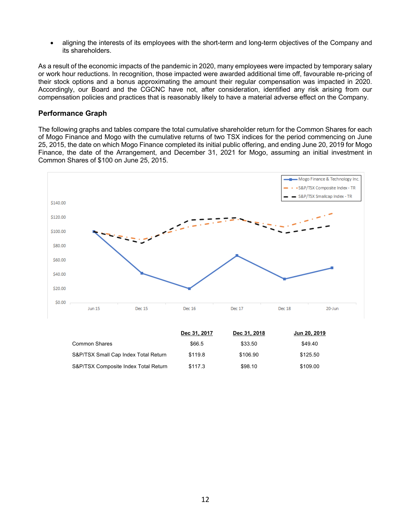• aligning the interests of its employees with the short-term and long-term objectives of the Company and its shareholders.

As a result of the economic impacts of the pandemic in 2020, many employees were impacted by temporary salary or work hour reductions. In recognition, those impacted were awarded additional time off, favourable re-pricing of their stock options and a bonus approximating the amount their regular compensation was impacted in 2020. Accordingly, our Board and the CGCNC have not, after consideration, identified any risk arising from our compensation policies and practices that is reasonably likely to have a material adverse effect on the Company.

## **Performance Graph**

The following graphs and tables compare the total cumulative shareholder return for the Common Shares for each of Mogo Finance and Mogo with the cumulative returns of two TSX indices for the period commencing on June 25, 2015, the date on which Mogo Finance completed its initial public offering, and ending June 20, 2019 for Mogo Finance, the date of the Arrangement, and December 31, 2021 for Mogo, assuming an initial investment in Common Shares of \$100 on June 25, 2015.



|                                      | Dec 31, 2017 | Dec 31, 2018 | Jun 20, 2019 |
|--------------------------------------|--------------|--------------|--------------|
| <b>Common Shares</b>                 | \$66.5       | \$33.50      | \$49.40      |
| S&P/TSX Small Cap Index Total Return | \$119.8      | \$106.90     | \$125.50     |
| S&P/TSX Composite Index Total Return | \$117.3      | \$98.10      | \$109.00     |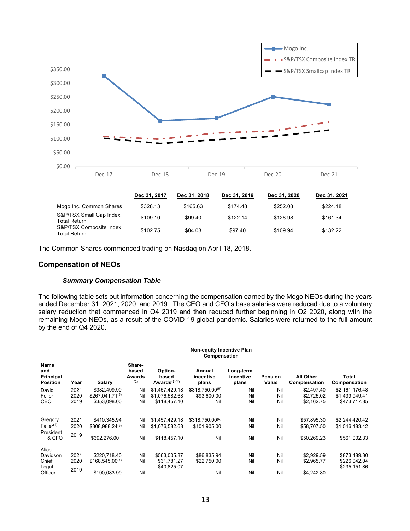

| Mogo Inc. Common Shares                        | \$328.13 | \$165.63 | \$174.48 | \$252.08 | \$224.48 |
|------------------------------------------------|----------|----------|----------|----------|----------|
| S&P/TSX Small Cap Index<br><b>Total Return</b> | \$109.10 | \$99.40  | \$122.14 | \$128.98 | \$161.34 |
| S&P/TSX Composite Index<br><b>Total Return</b> | \$102.75 | \$84.08  | \$97.40  | \$109.94 | \$132.22 |

The Common Shares commenced trading on Nasdaq on April 18, 2018.

#### **Compensation of NEOs**

## *Summary Compensation Table*

The following table sets out information concerning the compensation earned by the Mogo NEOs during the years ended December 31, 2021, 2020, and 2019. The CEO and CFO's base salaries were reduced due to a voluntary salary reduction that commenced in Q4 2019 and then reduced further beginning in Q2 2020, along with the remaining Mogo NEOs, as a result of the COVID-19 global pandemic. Salaries were returned to the full amount by the end of Q4 2020.

|                                                    |              |                     |                                  |                                     | <b>Non-equity Incentive Plan</b><br>Compensation |                                 |                  |                                  |                              |
|----------------------------------------------------|--------------|---------------------|----------------------------------|-------------------------------------|--------------------------------------------------|---------------------------------|------------------|----------------------------------|------------------------------|
| <b>Name</b><br>and<br>Principal<br><b>Position</b> | Year         | Salary              | Share-<br>based<br>Awards<br>(2) | Option-<br>based<br>Awards $(3)(4)$ | Annual<br>incentive<br>plans                     | Long-term<br>incentive<br>plans | Pension<br>Value | <b>All Other</b><br>Compensation | Total<br>Compensation        |
| David                                              | 2021         | \$382,499.90        | Nil                              | \$1,457,429.18                      | \$318,750.00(6)                                  | Nil                             | Nil              | \$2.497.40                       | \$2,161,176.48               |
| Feller                                             | 2020         | $$267.041.71^{(5)}$ | Nil                              | \$1.076.582.68                      | \$93,600.00                                      | Nil                             | Nil              | \$2.725.02                       | \$1,439,949.41               |
| CEO                                                | 2019         | \$353.098.00        | Nil                              | \$118,457.10                        | Nil                                              | Nil                             | Nil              | \$2,162.75                       | \$473,717.85                 |
| Gregory                                            | 2021         | \$410,345.94        | Nil                              | \$1,457,429.18                      | $$318.750.00^{(6)}$                              | Nil                             | Nil              | \$57,895.30                      | \$2,244,420.42               |
| Feller <sup>(1)</sup>                              | 2020         | $$308.988.24^{(5)}$ | Nil                              | \$1,076,582.68                      | \$101,905.00                                     | Nil                             | Nil              | \$58,707.50                      | \$1,546,183.42               |
| President<br>& CFO                                 | 2019         | \$392,276.00        | Nil                              | \$118,457.10                        | Nil                                              | Nil                             | Nil              | \$50,269.23                      | \$561,002.33                 |
| Alice                                              |              |                     |                                  |                                     |                                                  |                                 |                  |                                  |                              |
| Davidson                                           | 2021         | \$220.718.40        | Nil                              | \$563,005.37                        | \$86.835.94                                      | Nil                             | Nil              | \$2.929.59                       | \$873,489.30                 |
| Chief<br>Legal                                     | 2020<br>2019 | $$168.545.00^{(7)}$ | Nil                              | \$31,781.27<br>\$40,825.07          | \$22,750.00                                      | Nil                             | Nil              | \$2,965.77                       | \$226,042.04<br>\$235,151.86 |
| Officer                                            |              | \$190.083.99        | Nil                              |                                     | Nil                                              | Nil                             | Nil              | \$4,242.80                       |                              |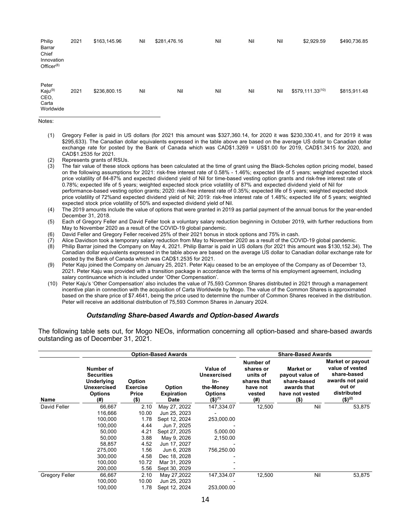| Philip<br>Barrar<br>Chief<br>Innovation<br>Office $r^{(8)}$ | 2021 | \$163,145.96 | Nil | \$281,476.16 | Nil | Nil | Nil | \$2,929.59                   | \$490,736.85 |
|-------------------------------------------------------------|------|--------------|-----|--------------|-----|-----|-----|------------------------------|--------------|
| Peter<br>Kaju <sup>(9)</sup><br>CEO,<br>Carta<br>Worldwide  | 2021 | \$236,800.15 | Nil | Nil          | Nil | Nil | Nil | \$579,111.33 <sup>(10)</sup> | \$815,911.48 |

Notes:

(1) Gregory Feller is paid in US dollars (for 2021 this amount was \$327,360.14, for 2020 it was \$230,330.41, and for 2019 it was \$295,633). The Canadian dollar equivalents expressed in the table above are based on the average US dollar to Canadian dollar exchange rate for posted by the Bank of Canada which was CAD\$1.3269 = US\$1.00 for 2019, CAD\$1.3415 for 2020, and CAD\$1.2535 for 2021.

(2) Represents grants of RSUs.<br>(3) The fair value of these stock

The fair value of these stock options has been calculated at the time of grant using the Black-Scholes option pricing model, based on the following assumptions for 2021: risk-free interest rate of 0.58% - 1.46%; expected life of 5 years; weighted expected stock price volatility of 84-87% and expected dividend yield of Nil for time-based vesting option grants and risk-free interest rate of 0.78%; expected life of 5 years; weighted expected stock price volatility of 87% and expected dividend yield of Nil for performance-based vesting option grants; 2020: risk-free interest rate of 0.35%; expected life of 5 years; weighted expected stock price volatility of 72%and expected dividend yield of Nil; 2019: risk-free interest rate of 1.48%; expected life of 5 years; weighted expected stock price volatility of 50% and expected dividend yield of Nil.

- (4) The 2019 amounts include the value of options that were granted in 2019 as partial payment of the annual bonus for the year-ended December 31, 2018.
- (5) Each of Gregory Feller and David Feller took a voluntary salary reduction beginning in October 2019, with further reductions from May to November 2020 as a result of the COVID-19 global pandemic.
- (6) David Feller and Gregory Feller received 25% of their 2021 bonus in stock options and 75% in cash.
- (7) Alice Davidson took a temporary salary reduction from May to November 2020 as a result of the COVID-19 global pandemic.<br>(8) Philip Barrar ioined the Company on May 4, 2021. Philip Barrar is paid in US dollars (for 2021
- Philip Barrar joined the Company on May 4, 2021. Philip Barrar is paid in US dollars (for 2021 this amount was \$130,152.34). The Canadian dollar equivalents expressed in the table above are based on the average US dollar to Canadian dollar exchange rate for posted by the Bank of Canada which was CAD\$1.2535 for 2021.
- (9) Peter Kaju joined the Company on January 25, 2021. Peter Kaju ceased to be an employee of the Company as of December 13, 2021. Peter Kaju was provided with a transition package in accordance with the terms of his employment agreement, including salary continuance which is included under 'Other Compensation'.
- (10) Peter Kaju's 'Other Compensation' also includes the value of 75,593 Common Shares distributed in 2021 through a management incentive plan in connection with the acquisition of Carta Worldwide by Mogo. The value of the Common Shares is approximated based on the share price of \$7.4641, being the price used to determine the number of Common Shares received in the distribution. Peter will receive an additional distribution of 75,593 Common Shares in January 2024.

#### *Outstanding Share-based Awards and Option-based Awards*

The following table sets out, for Mogo NEOs, information concerning all option-based and share-based awards outstanding as of December 31, 2021.

|                       |                                                                               |                                                      | <b>Option-Based Awards</b>          | <b>Share-Based Awards</b>                                                                      |                                                                                 |                                                                                                 |                                                                                                                                 |
|-----------------------|-------------------------------------------------------------------------------|------------------------------------------------------|-------------------------------------|------------------------------------------------------------------------------------------------|---------------------------------------------------------------------------------|-------------------------------------------------------------------------------------------------|---------------------------------------------------------------------------------------------------------------------------------|
| Name                  | Number of<br>Securities<br>Underlying<br>Unexercised<br><b>Options</b><br>(#) | <b>Option</b><br><b>Exercise</b><br>Price<br>$($ \$) | Option<br><b>Expiration</b><br>Date | Value of<br><b>Unexercised</b><br>In-<br>the-Money<br><b>Options</b><br>$($ \$) <sup>(1)</sup> | Number of<br>shares or<br>units of<br>shares that<br>have not<br>vested<br>(# ) | <b>Market or</b><br>payout value of<br>share-based<br>awards that<br>have not vested<br>$($ \$) | <b>Market or payout</b><br>value of vested<br>share-based<br>awards not paid<br>out or<br>distributed<br>$($ \$) <sup>(2)</sup> |
| David Feller          | 66,667                                                                        | 2.10                                                 | May 27, 2022                        | 147,334.07                                                                                     | 12,500                                                                          | Nil                                                                                             | 53,875                                                                                                                          |
|                       | 116,666                                                                       | 10.00                                                | Jun 25, 2023                        |                                                                                                |                                                                                 |                                                                                                 |                                                                                                                                 |
|                       | 100,000                                                                       | 1.78                                                 | Sept 12, 2024                       | 253,000.00                                                                                     |                                                                                 |                                                                                                 |                                                                                                                                 |
|                       | 100,000                                                                       | 4.44                                                 | Jun 7, 2025                         |                                                                                                |                                                                                 |                                                                                                 |                                                                                                                                 |
|                       | 50,000                                                                        | 4.21                                                 | Sept 27, 2025                       | 5,000.00                                                                                       |                                                                                 |                                                                                                 |                                                                                                                                 |
|                       | 50,000                                                                        | 3.88                                                 | May 9, 2026                         | 2,150.00                                                                                       |                                                                                 |                                                                                                 |                                                                                                                                 |
|                       | 58,857                                                                        | 4.52                                                 | Jun 17, 2027                        |                                                                                                |                                                                                 |                                                                                                 |                                                                                                                                 |
|                       | 275,000                                                                       | 1.56                                                 | Jun 6, 2028                         | 756,250.00                                                                                     |                                                                                 |                                                                                                 |                                                                                                                                 |
|                       | 300.000                                                                       | 4.58                                                 | Dec 18, 2028                        |                                                                                                |                                                                                 |                                                                                                 |                                                                                                                                 |
|                       | 100.000                                                                       | 10.72                                                | Mar 31, 2029                        |                                                                                                |                                                                                 |                                                                                                 |                                                                                                                                 |
|                       | 200,000                                                                       | 5.56                                                 | Sept 30, 2029                       |                                                                                                |                                                                                 |                                                                                                 |                                                                                                                                 |
| <b>Gregory Feller</b> | 66,667                                                                        | 2.10                                                 | May 27,2022                         | 147,334.07                                                                                     | 12,500                                                                          | Nil                                                                                             | 53,875                                                                                                                          |
|                       | 100,000                                                                       | 10.00                                                | Jun 25, 2023                        |                                                                                                |                                                                                 |                                                                                                 |                                                                                                                                 |
|                       | 100,000                                                                       | 1.78                                                 | Sept 12, 2024                       | 253,000.00                                                                                     |                                                                                 |                                                                                                 |                                                                                                                                 |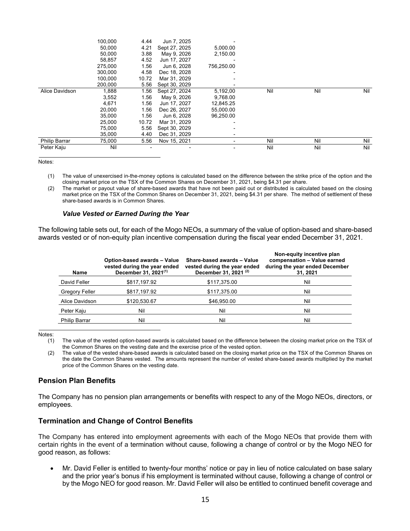|                      | 100,000 | 4.44  | Jun 7, 2025   |                          |     |     |     |
|----------------------|---------|-------|---------------|--------------------------|-----|-----|-----|
|                      | 50,000  | 4.21  | Sept 27, 2025 | 5,000.00                 |     |     |     |
|                      | 50.000  | 3.88  | May 9, 2026   | 2.150.00                 |     |     |     |
|                      | 58,857  | 4.52  | Jun 17, 2027  |                          |     |     |     |
|                      | 275.000 | 1.56  | Jun 6, 2028   | 756.250.00               |     |     |     |
|                      | 300,000 | 4.58  | Dec 18, 2028  |                          |     |     |     |
|                      | 100.000 | 10.72 | Mar 31, 2029  |                          |     |     |     |
|                      | 200.000 | 5.56  | Sept 30, 2029 |                          |     |     |     |
| Alice Davidson       | 1,888   | 1.56  | Sept 27, 2024 | 5,192,00                 | Nil | Nil | Nil |
|                      | 3,552   | 1.56  | May 9, 2026   | 9,768.00                 |     |     |     |
|                      | 4,671   | 1.56  | Jun 17, 2027  | 12,845.25                |     |     |     |
|                      | 20,000  | 1.56  | Dec 26, 2027  | 55,000.00                |     |     |     |
|                      | 35,000  | 1.56  | Jun 6, 2028   | 96.250.00                |     |     |     |
|                      | 25,000  | 10.72 | Mar 31, 2029  |                          |     |     |     |
|                      | 75,000  | 5.56  | Sept 30, 2029 |                          |     |     |     |
|                      | 35,000  | 4.40  | Dec 31, 2029  | $\overline{\phantom{0}}$ |     |     |     |
| <b>Philip Barrar</b> | 75,000  | 5.56  | Nov 15, 2021  |                          | Nil | Nil | Nil |
| Peter Kaju           | Nil     |       |               |                          | Nil | Nil | Nil |

Notes:

(1) The value of unexercised in-the-money options is calculated based on the difference between the strike price of the option and the closing market price on the TSX of the Common Shares on December 31, 2021, being \$4.31 per share.

(2) The market or payout value of share-based awards that have not been paid out or distributed is calculated based on the closing market price on the TSX of the Common Shares on December 31, 2021, being \$4.31 per share. The method of settlement of these share-based awards is in Common Shares.

#### *Value Vested or Earned During the Year*

The following table sets out, for each of the Mogo NEOs, a summary of the value of option-based and share-based awards vested or of non-equity plan incentive compensation during the fiscal year ended December 31, 2021.

| Name                  | Option-based awards - Value<br>vested during the year ended<br>December 31, 2021 <sup>(1)</sup> | Share-based awards - Value<br>vested during the year ended<br>December 31, 2021 <sup>(2)</sup> | Non-equity incentive plan<br>compensation - Value earned<br>during the year ended December<br>31, 2021 |
|-----------------------|-------------------------------------------------------------------------------------------------|------------------------------------------------------------------------------------------------|--------------------------------------------------------------------------------------------------------|
| David Feller          | \$817,197.92                                                                                    | \$117,375.00                                                                                   | Nil                                                                                                    |
| <b>Gregory Feller</b> | \$817,197.92                                                                                    | \$117,375.00                                                                                   | Nil                                                                                                    |
| Alice Davidson        | \$120,530.67                                                                                    | \$46,950,00                                                                                    | Nil                                                                                                    |
| Peter Kaju            | Nil                                                                                             | Nil                                                                                            | Nil                                                                                                    |
| <b>Philip Barrar</b>  | Nil                                                                                             | Nil                                                                                            | Nil                                                                                                    |

Notes:

(1) The value of the vested option-based awards is calculated based on the difference between the closing market price on the TSX of the Common Shares on the vesting date and the exercise price of the vested option.

(2) The value of the vested share-based awards is calculated based on the closing market price on the TSX of the Common Shares on the date the Common Shares vested. The amounts represent the number of vested share-based awards multiplied by the market price of the Common Shares on the vesting date.

# **Pension Plan Benefits**

The Company has no pension plan arrangements or benefits with respect to any of the Mogo NEOs, directors, or employees.

# **Termination and Change of Control Benefits**

The Company has entered into employment agreements with each of the Mogo NEOs that provide them with certain rights in the event of a termination without cause, following a change of control or by the Mogo NEO for good reason, as follows:

• Mr. David Feller is entitled to twenty-four months' notice or pay in lieu of notice calculated on base salary and the prior year's bonus if his employment is terminated without cause, following a change of control or by the Mogo NEO for good reason. Mr. David Feller will also be entitled to continued benefit coverage and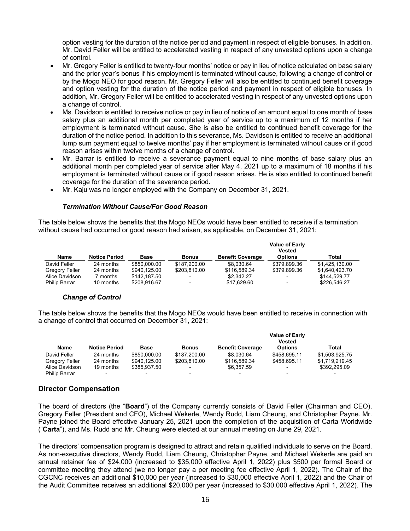option vesting for the duration of the notice period and payment in respect of eligible bonuses. In addition, Mr. David Feller will be entitled to accelerated vesting in respect of any unvested options upon a change of control.

- Mr. Gregory Feller is entitled to twenty-four months' notice or pay in lieu of notice calculated on base salary and the prior year's bonus if his employment is terminated without cause, following a change of control or by the Mogo NEO for good reason. Mr. Gregory Feller will also be entitled to continued benefit coverage and option vesting for the duration of the notice period and payment in respect of eligible bonuses. In addition, Mr. Gregory Feller will be entitled to accelerated vesting in respect of any unvested options upon a change of control.
- Ms. Davidson is entitled to receive notice or pay in lieu of notice of an amount equal to one month of base salary plus an additional month per completed year of service up to a maximum of 12 months if her employment is terminated without cause. She is also be entitled to continued benefit coverage for the duration of the notice period. In addition to this severance, Ms. Davidson is entitled to receive an additional lump sum payment equal to twelve months' pay if her employment is terminated without cause or if good reason arises within twelve months of a change of control.
- Mr. Barrar is entitled to receive a severance payment equal to nine months of base salary plus an additional month per completed year of service after May 4, 2021 up to a maximum of 18 months if his employment is terminated without cause or if good reason arises. He is also entitled to continued benefit coverage for the duration of the severance period.
- Mr. Kaju was no longer employed with the Company on December 31, 2021.

# *Termination Without Cause/For Good Reason*

The table below shows the benefits that the Mogo NEOs would have been entitled to receive if a termination without cause had occurred or good reason had arisen, as applicable, on December 31, 2021:

|                      |                      |              |              |                         | <b>Value of Early</b><br><b>Vested</b> |                |
|----------------------|----------------------|--------------|--------------|-------------------------|----------------------------------------|----------------|
| <b>Name</b>          | <b>Notice Period</b> | <b>Base</b>  | <b>Bonus</b> | <b>Benefit Coverage</b> | <b>Options</b>                         | Total          |
| David Feller         | 24 months            | \$850,000.00 | \$187,200.00 | \$8.030.64              | \$379.899.36                           | \$1.425.130.00 |
| Gregory Feller       | 24 months            | \$940.125.00 | \$203.810.00 | \$116,589.34            | \$379.899.36                           | \$1,640,423.70 |
| Alice Davidson       | 7 months             | \$142,187.50 |              | \$2,342.27              |                                        | \$144,529.77   |
| <b>Philip Barrar</b> | 10 months            | \$208.916.67 | ۰            | \$17.629.60             | ۰                                      | \$226,546.27   |

# *Change of Control*

The table below shows the benefits that the Mogo NEOs would have been entitled to receive in connection with a change of control that occurred on December 31, 2021:

| <b>Name</b>          | <b>Notice Period</b> | <b>Base</b>              | <b>Bonus</b> | <b>Benefit Coverage</b>  | <b>Value of Early</b><br><b>Vested</b><br><b>Options</b> | Total          |
|----------------------|----------------------|--------------------------|--------------|--------------------------|----------------------------------------------------------|----------------|
| David Feller         | 24 months            | \$850,000.00             | \$187,200.00 | \$8.030.64               | \$458.695.11                                             | \$1,503,925.75 |
| Gregory Feller       | 24 months            | \$940.125.00             | \$203.810.00 | \$116,589.34             | \$458.695.11                                             | \$1.719.219.45 |
| Alice Davidson       | 19 months            | \$385.937.50             | ۰            | \$6,357.59               |                                                          | \$392.295.09   |
| <b>Philip Barrar</b> |                      | $\overline{\phantom{0}}$ |              | $\overline{\phantom{0}}$ |                                                          | -              |

# **Director Compensation**

The board of directors (the "**Board**") of the Company currently consists of David Feller (Chairman and CEO), Gregory Feller (President and CFO), Michael Wekerle, Wendy Rudd, Liam Cheung, and Christopher Payne. Mr. Payne joined the Board effective January 25, 2021 upon the completion of the acquisition of Carta Worldwide ("**Carta**"), and Ms. Rudd and Mr. Cheung were elected at our annual meeting on June 29, 2021.

The directors' compensation program is designed to attract and retain qualified individuals to serve on the Board. As non-executive directors, Wendy Rudd, Liam Cheung, Christopher Payne, and Michael Wekerle are paid an annual retainer fee of \$24,000 (increased to \$35,000 effective April 1, 2022) plus \$500 per formal Board or committee meeting they attend (we no longer pay a per meeting fee effective April 1, 2022). The Chair of the CGCNC receives an additional \$10,000 per year (increased to \$30,000 effective April 1, 2022) and the Chair of the Audit Committee receives an additional \$20,000 per year (increased to \$30,000 effective April 1, 2022). The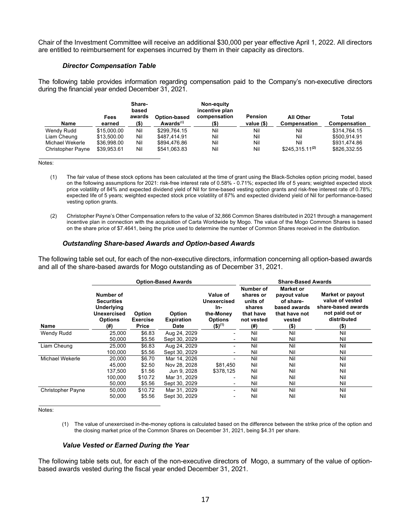Chair of the Investment Committee will receive an additional \$30,000 per year effective April 1, 2022. All directors are entitled to reimbursement for expenses incurred by them in their capacity as directors.

#### *Director Compensation Table*

The following table provides information regarding compensation paid to the Company's non-executive directors during the financial year ended December 31, 2021.

| <b>Name</b>              | Fees<br>earned | Share-<br>based<br>awards<br>(\$) | Option-based<br>Awards $(1)$ | Non-equity<br>incentive plan<br>compensation<br>(\$) | <b>Pension</b><br>value $(\$)$ | <b>All Other</b><br>Compensation | Total<br>Compensation |
|--------------------------|----------------|-----------------------------------|------------------------------|------------------------------------------------------|--------------------------------|----------------------------------|-----------------------|
| Wendy Rudd               | \$15,000.00    | Nil                               | \$299.764.15                 | Nil                                                  | Nil                            | Nil                              | \$314.764.15          |
| Liam Cheung              | \$13.500.00    | Nil                               | \$487.414.91                 | Nil                                                  | Nil                            | Nil                              | \$500.914.91          |
| Michael Wekerle          | \$36.998.00    | Nil                               | \$894.476.86                 | Nil                                                  | Nil                            | Nil                              | \$931.474.86          |
| <b>Christopher Payne</b> | \$39,953.61    | Nil                               | \$541,063.83                 | Nil                                                  | Nil                            | $$245,315.11^{(2)}$              | \$826,332.55          |

Notes:

- (1) The fair value of these stock options has been calculated at the time of grant using the Black-Scholes option pricing model, based on the following assumptions for 2021: risk-free interest rate of 0.58% - 0.71%; expected life of 5 years; weighted expected stock price volatility of 84% and expected dividend yield of Nil for time-based vesting option grants and risk-free interest rate of 0.78%; expected life of 5 years; weighted expected stock price volatility of 87% and expected dividend yield of Nil for performance-based vesting option grants.
- (2) Christopher Payne's Other Compensation refers to the value of 32,866 Common Shares distributed in 2021 through a management incentive plan in connection with the acquisition of Carta Worldwide by Mogo. The value of the Mogo Common Shares is based on the share price of \$7.4641, being the price used to determine the number of Common Shares received in the distribution.

#### *Outstanding Share-based Awards and Option-based Awards*

The following table set out, for each of the non-executive directors, information concerning all option-based awards and all of the share-based awards for Mogo outstanding as of December 31, 2021.

|                          |                                                                                             |                                           | <b>Option-Based Awards</b>                 |                                                                              | <b>Share-Based Awards</b>                                                         |                                                                                                     |                                                                                                               |
|--------------------------|---------------------------------------------------------------------------------------------|-------------------------------------------|--------------------------------------------|------------------------------------------------------------------------------|-----------------------------------------------------------------------------------|-----------------------------------------------------------------------------------------------------|---------------------------------------------------------------------------------------------------------------|
| Name                     | Number of<br><b>Securities</b><br><b>Underlying</b><br>Unexercised<br><b>Options</b><br>(#) | <b>Option</b><br><b>Exercise</b><br>Price | <b>Option</b><br><b>Expiration</b><br>Date | Value of<br>Unexercised<br>In-<br>the-Money<br><b>Options</b><br>$(5)^{(1)}$ | Number of<br>shares or<br>units of<br>shares<br>that have<br>not vested<br>$(\#)$ | <b>Market or</b><br>payout value<br>of share-<br>based awards<br>that have not<br>vested<br>$($ \$) | <b>Market or payout</b><br>value of vested<br>share-based awards<br>not paid out or<br>distributed<br>$($ \$) |
| <b>Wendy Rudd</b>        | 25,000                                                                                      | \$6.83                                    | Aug 24, 2029                               |                                                                              | Nil                                                                               | Nil                                                                                                 | Nil                                                                                                           |
|                          | 50,000                                                                                      | \$5.56                                    | Sept 30, 2029                              |                                                                              | Nil                                                                               | Nil                                                                                                 | Nil                                                                                                           |
| Liam Cheung              | 25,000                                                                                      | \$6.83                                    | Aug 24, 2029                               | Ξ.                                                                           | Nil                                                                               | Nil                                                                                                 | Nil                                                                                                           |
|                          | 100,000                                                                                     | \$5.56                                    | Sept 30, 2029                              | ٠                                                                            | Nil                                                                               | Nil                                                                                                 | Nil                                                                                                           |
| Michael Wekerle          | 20,000                                                                                      | \$6.70                                    | Mar 14, 2026                               |                                                                              | Nil                                                                               | Nil                                                                                                 | Nil                                                                                                           |
|                          | 45,000                                                                                      | \$2.50                                    | Nov 28, 2028                               | \$81.450                                                                     | Nil                                                                               | Nil                                                                                                 | Nil                                                                                                           |
|                          | 137.500                                                                                     | \$1.56                                    | Jun 9, 2028                                | \$378.125                                                                    | Nil                                                                               | Nil                                                                                                 | Nil                                                                                                           |
|                          | 100,000                                                                                     | \$10.72                                   | Mar 31, 2029                               |                                                                              | Nil                                                                               | Nil                                                                                                 | Nil                                                                                                           |
|                          | 50,000                                                                                      | \$5.56                                    | Sept 30, 2029                              | -                                                                            | Nil                                                                               | Nil                                                                                                 | Nil                                                                                                           |
| <b>Christopher Payne</b> | 50,000                                                                                      | \$10.72                                   | Mar 31, 2029                               | Ξ.                                                                           | Nil                                                                               | Nil                                                                                                 | Nil                                                                                                           |
|                          | 50,000                                                                                      | \$5.56                                    | Sept 30, 2029                              |                                                                              | Nil                                                                               | Nil                                                                                                 | Nil                                                                                                           |

Notes:

(1) The value of unexercised in-the-money options is calculated based on the difference between the strike price of the option and the closing market price of the Common Shares on December 31, 2021, being \$4.31 per share.

#### *Value Vested or Earned During the Year*

The following table sets out, for each of the non-executive directors of Mogo, a summary of the value of optionbased awards vested during the fiscal year ended December 31, 2021.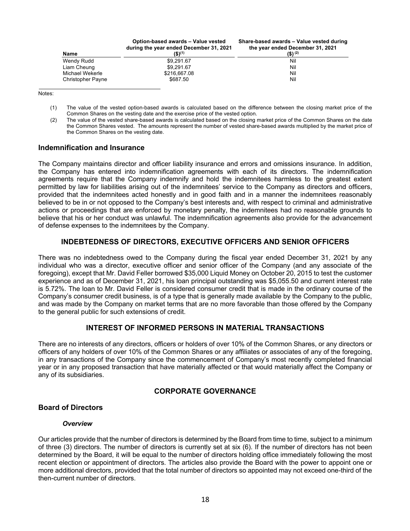| <b>Name</b>              | Option-based awards - Value vested<br>during the year ended December 31, 2021<br>$(5)^{(1)}$ | Share-based awards - Value vested during<br>the year ended December 31, 2021<br>$(S)$ <sup>(2)</sup> |
|--------------------------|----------------------------------------------------------------------------------------------|------------------------------------------------------------------------------------------------------|
| Wendy Rudd               | \$9,291.67                                                                                   | Nil                                                                                                  |
| Liam Cheung              | \$9,291.67                                                                                   | Nil                                                                                                  |
| Michael Wekerle          | \$216,667.08                                                                                 | Nil                                                                                                  |
| <b>Christopher Payne</b> | \$687.50                                                                                     | Nil                                                                                                  |

Notes:

- (1) The value of the vested option-based awards is calculated based on the difference between the closing market price of the Common Shares on the vesting date and the exercise price of the vested option.
- (2) The value of the vested share-based awards is calculated based on the closing market price of the Common Shares on the date the Common Shares vested. The amounts represent the number of vested share-based awards multiplied by the market price of the Common Shares on the vesting date.

## **Indemnification and Insurance**

The Company maintains director and officer liability insurance and errors and omissions insurance. In addition, the Company has entered into indemnification agreements with each of its directors. The indemnification agreements require that the Company indemnify and hold the indemnitees harmless to the greatest extent permitted by law for liabilities arising out of the indemnitees' service to the Company as directors and officers, provided that the indemnitees acted honestly and in good faith and in a manner the indemnitees reasonably believed to be in or not opposed to the Company's best interests and, with respect to criminal and administrative actions or proceedings that are enforced by monetary penalty, the indemnitees had no reasonable grounds to believe that his or her conduct was unlawful. The indemnification agreements also provide for the advancement of defense expenses to the indemnitees by the Company.

# **INDEBTEDNESS OF DIRECTORS, EXECUTIVE OFFICERS AND SENIOR OFFICERS**

There was no indebtedness owed to the Company during the fiscal year ended December 31, 2021 by any individual who was a director, executive officer and senior officer of the Company (and any associate of the foregoing), except that Mr. David Feller borrowed \$35,000 Liquid Money on October 20, 2015 to test the customer experience and as of December 31, 2021, his loan principal outstanding was \$5,055.50 and current interest rate is 5.72%. The loan to Mr. David Feller is considered consumer credit that is made in the ordinary course of the Company's consumer credit business, is of a type that is generally made available by the Company to the public, and was made by the Company on market terms that are no more favorable than those offered by the Company to the general public for such extensions of credit.

# **INTEREST OF INFORMED PERSONS IN MATERIAL TRANSACTIONS**

There are no interests of any directors, officers or holders of over 10% of the Common Shares, or any directors or officers of any holders of over 10% of the Common Shares or any affiliates or associates of any of the foregoing, in any transactions of the Company since the commencement of Company's most recently completed financial year or in any proposed transaction that have materially affected or that would materially affect the Company or any of its subsidiaries.

# **CORPORATE GOVERNANCE**

# **Board of Directors**

#### *Overview*

Our articles provide that the number of directors is determined by the Board from time to time, subject to a minimum of three (3) directors. The number of directors is currently set at six (6). If the number of directors has not been determined by the Board, it will be equal to the number of directors holding office immediately following the most recent election or appointment of directors. The articles also provide the Board with the power to appoint one or more additional directors, provided that the total number of directors so appointed may not exceed one-third of the then-current number of directors.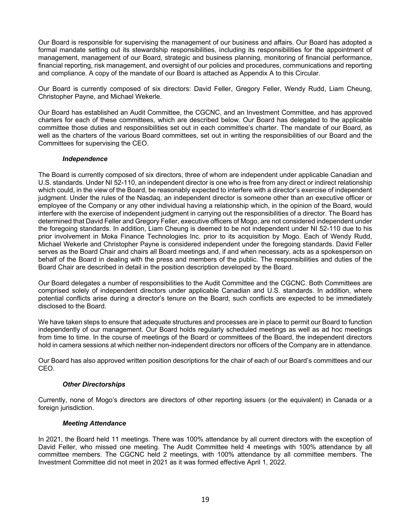Our Board is responsible for supervising the management of our business and affairs. Our Board has adopted a formal mandate setting out its stewardship responsibilities, including its responsibilities for the appointment of management, management of our Board, strategic and business planning, monitoring of financial performance, financial reporting, risk management, and oversight of our policies and procedures, communications and reporting and compliance. A copy of the mandate of our Board is attached as Appendix A to this Circular.

Our Board is currently composed of six directors: David Feller, Gregory Feller, Wendy Rudd, Liam Cheung, Christopher Payne, and Michael Wekerle.

Our Board has established an Audit Committee, the CGCNC, and an Investment Committee, and has approved charters for each of these committees, which are described below. Our Board has delegated to the applicable committee those duties and responsibilities set out in each committee's charter. The mandate of our Board, as well as the charters of the various Board committees, set out in writing the responsibilities of our Board and the Committees for supervising the CEO.

## *Independence*

The Board is currently composed of six directors, three of whom are independent under applicable Canadian and U.S. standards. Under NI 52-110, an independent director is one who is free from any direct or indirect relationship which could, in the view of the Board, be reasonably expected to interfere with a director's exercise of independent judgment. Under the rules of the Nasdaq, an independent director is someone other than an executive officer or employee of the Company or any other individual having a relationship which, in the opinion of the Board, would interfere with the exercise of independent judgment in carrying out the responsibilities of a director. The Board has determined that David Feller and Gregory Feller, executive officers of Mogo, are not considered independent under the foregoing standards. In addition, Liam Cheung is deemed to be not independent under NI 52-110 due to his prior involvement in Moka Finance Technologies Inc. prior to its acquisition by Mogo. Each of Wendy Rudd, Michael Wekerle and Christopher Payne is considered independent under the foregoing standards. David Feller serves as the Board Chair and chairs all Board meetings and, if and when necessary, acts as a spokesperson on behalf of the Board in dealing with the press and members of the public. The responsibilities and duties of the Board Chair are described in detail in the position description developed by the Board.

Our Board delegates a number of responsibilities to the Audit Committee and the CGCNC. Both Committees are comprised solely of independent directors under applicable Canadian and U.S. standards. In addition, where potential conflicts arise during a director's tenure on the Board, such conflicts are expected to be immediately disclosed to the Board.

We have taken steps to ensure that adequate structures and processes are in place to permit our Board to function independently of our management. Our Board holds regularly scheduled meetings as well as ad hoc meetings from time to time. In the course of meetings of the Board or committees of the Board, the independent directors hold in camera sessions at which neither non-independent directors nor officers of the Company are in attendance.

Our Board has also approved written position descriptions for the chair of each of our Board's committees and our CEO.

# *Other Directorships*

Currently, none of Mogo's directors are directors of other reporting issuers (or the equivalent) in Canada or a foreign jurisdiction.

#### *Meeting Attendance*

In 2021, the Board held 11 meetings. There was 100% attendance by all current directors with the exception of David Feller, who missed one meeting. The Audit Committee held 4 meetings with 100% attendance by all committee members. The CGCNC held 2 meetings, with 100% attendance by all committee members. The Investment Committee did not meet in 2021 as it was formed effective April 1, 2022.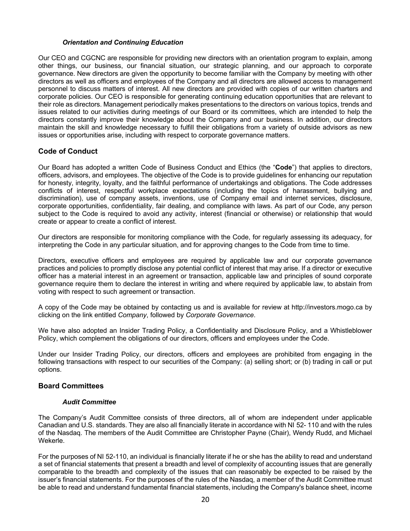#### *Orientation and Continuing Education*

Our CEO and CGCNC are responsible for providing new directors with an orientation program to explain, among other things, our business, our financial situation, our strategic planning, and our approach to corporate governance. New directors are given the opportunity to become familiar with the Company by meeting with other directors as well as officers and employees of the Company and all directors are allowed access to management personnel to discuss matters of interest. All new directors are provided with copies of our written charters and corporate policies. Our CEO is responsible for generating continuing education opportunities that are relevant to their role as directors. Management periodically makes presentations to the directors on various topics, trends and issues related to our activities during meetings of our Board or its committees, which are intended to help the directors constantly improve their knowledge about the Company and our business. In addition, our directors maintain the skill and knowledge necessary to fulfill their obligations from a variety of outside advisors as new issues or opportunities arise, including with respect to corporate governance matters.

# **Code of Conduct**

Our Board has adopted a written Code of Business Conduct and Ethics (the "**Code**") that applies to directors, officers, advisors, and employees. The objective of the Code is to provide guidelines for enhancing our reputation for honesty, integrity, loyalty, and the faithful performance of undertakings and obligations. The Code addresses conflicts of interest, respectful workplace expectations (including the topics of harassment, bullying and discrimination), use of company assets, inventions, use of Company email and internet services, disclosure, corporate opportunities, confidentiality, fair dealing, and compliance with laws. As part of our Code, any person subject to the Code is required to avoid any activity, interest (financial or otherwise) or relationship that would create or appear to create a conflict of interest.

Our directors are responsible for monitoring compliance with the Code, for regularly assessing its adequacy, for interpreting the Code in any particular situation, and for approving changes to the Code from time to time.

Directors, executive officers and employees are required by applicable law and our corporate governance practices and policies to promptly disclose any potential conflict of interest that may arise. If a director or executive officer has a material interest in an agreement or transaction, applicable law and principles of sound corporate governance require them to declare the interest in writing and where required by applicable law, to abstain from voting with respect to such agreement or transaction.

A copy of the Code may be obtained by contacting us and is available for review at http://investors.mogo.ca by clicking on the link entitled *Company*, followed by *Corporate Governance*.

We have also adopted an Insider Trading Policy, a Confidentiality and Disclosure Policy, and a Whistleblower Policy, which complement the obligations of our directors, officers and employees under the Code.

Under our Insider Trading Policy, our directors, officers and employees are prohibited from engaging in the following transactions with respect to our securities of the Company: (a) selling short; or (b) trading in call or put options.

# **Board Committees**

#### *Audit Committee*

The Company's Audit Committee consists of three directors, all of whom are independent under applicable Canadian and U.S. standards. They are also all financially literate in accordance with NI 52- 110 and with the rules of the Nasdaq. The members of the Audit Committee are Christopher Payne (Chair), Wendy Rudd, and Michael Wekerle.

For the purposes of NI 52-110, an individual is financially literate if he or she has the ability to read and understand a set of financial statements that present a breadth and level of complexity of accounting issues that are generally comparable to the breadth and complexity of the issues that can reasonably be expected to be raised by the issuer's financial statements. For the purposes of the rules of the Nasdaq, a member of the Audit Committee must be able to read and understand fundamental financial statements, including the Company's balance sheet, income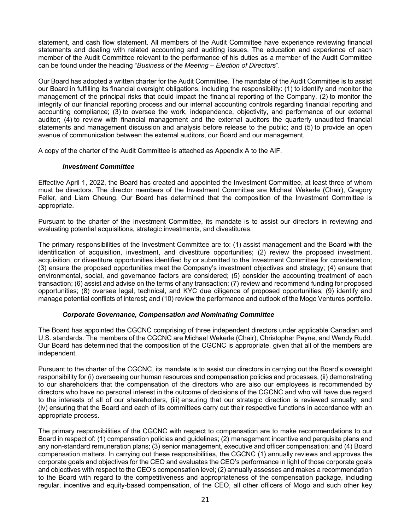statement, and cash flow statement. All members of the Audit Committee have experience reviewing financial statements and dealing with related accounting and auditing issues. The education and experience of each member of the Audit Committee relevant to the performance of his duties as a member of the Audit Committee can be found under the heading "*Business of the Meeting – Election of Directors*".

Our Board has adopted a written charter for the Audit Committee. The mandate of the Audit Committee is to assist our Board in fulfilling its financial oversight obligations, including the responsibility: (1) to identify and monitor the management of the principal risks that could impact the financial reporting of the Company, (2) to monitor the integrity of our financial reporting process and our internal accounting controls regarding financial reporting and accounting compliance; (3) to oversee the work, independence, objectivity, and performance of our external auditor; (4) to review with financial management and the external auditors the quarterly unaudited financial statements and management discussion and analysis before release to the public; and (5) to provide an open avenue of communication between the external auditors, our Board and our management.

A copy of the charter of the Audit Committee is attached as Appendix A to the AIF.

## *Investment Committee*

Effective April 1, 2022, the Board has created and appointed the Investment Committee, at least three of whom must be directors. The director members of the Investment Committee are Michael Wekerle (Chair), Gregory Feller, and Liam Cheung. Our Board has determined that the composition of the Investment Committee is appropriate.

Pursuant to the charter of the Investment Committee, its mandate is to assist our directors in reviewing and evaluating potential acquisitions, strategic investments, and divestitures.

The primary responsibilities of the Investment Committee are to: (1) assist management and the Board with the identification of acquisition, investment, and divestiture opportunities; (2) review the proposed investment, acquisition, or divestiture opportunities identified by or submitted to the Investment Committee for consideration; (3) ensure the proposed opportunities meet the Company's investment objectives and strategy; (4) ensure that environmental, social, and governance factors are considered; (5) consider the accounting treatment of each transaction; (6) assist and advise on the terms of any transaction; (7) review and recommend funding for proposed opportunities; (8) oversee legal, technical, and KYC due diligence of proposed opportunities; (9) identify and manage potential conflicts of interest; and (10) review the performance and outlook of the Mogo Ventures portfolio.

# *Corporate Governance, Compensation and Nominating Committee*

The Board has appointed the CGCNC comprising of three independent directors under applicable Canadian and U.S. standards. The members of the CGCNC are Michael Wekerle (Chair), Christopher Payne, and Wendy Rudd. Our Board has determined that the composition of the CGCNC is appropriate, given that all of the members are independent.

Pursuant to the charter of the CGCNC, its mandate is to assist our directors in carrying out the Board's oversight responsibility for (i) overseeing our human resources and compensation policies and processes, (ii) demonstrating to our shareholders that the compensation of the directors who are also our employees is recommended by directors who have no personal interest in the outcome of decisions of the CGCNC and who will have due regard to the interests of all of our shareholders, (iii) ensuring that our strategic direction is reviewed annually, and (iv) ensuring that the Board and each of its committees carry out their respective functions in accordance with an appropriate process.

The primary responsibilities of the CGCNC with respect to compensation are to make recommendations to our Board in respect of: (1) compensation policies and guidelines; (2) management incentive and perquisite plans and any non-standard remuneration plans; (3) senior management, executive and officer compensation; and (4) Board compensation matters. In carrying out these responsibilities, the CGCNC (1) annually reviews and approves the corporate goals and objectives for the CEO and evaluates the CEO's performance in light of those corporate goals and objectives with respect to the CEO's compensation level; (2) annually assesses and makes a recommendation to the Board with regard to the competitiveness and appropriateness of the compensation package, including regular, incentive and equity-based compensation, of the CEO, all other officers of Mogo and such other key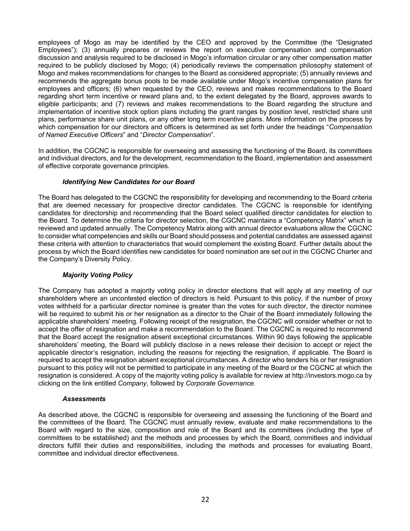employees of Mogo as may be identified by the CEO and approved by the Committee (the "Designated Employees"); (3) annually prepares or reviews the report on executive compensation and compensation discussion and analysis required to be disclosed in Mogo's information circular or any other compensation matter required to be publicly disclosed by Mogo; (4) periodically reviews the compensation philosophy statement of Mogo and makes recommendations for changes to the Board as considered appropriate; (5) annually reviews and recommends the aggregate bonus pools to be made available under Mogo's incentive compensation plans for employees and officers; (6) when requested by the CEO, reviews and makes recommendations to the Board regarding short term incentive or reward plans and, to the extent delegated by the Board, approves awards to eligible participants; and (7) reviews and makes recommendations to the Board regarding the structure and implementation of incentive stock option plans including the grant ranges by position level, restricted share unit plans, performance share unit plans, or any other long term incentive plans. More information on the process by which compensation for our directors and officers is determined as set forth under the headings "*Compensation of Named Executive Officers*" and "*Director Compensation*".

In addition, the CGCNC is responsible for overseeing and assessing the functioning of the Board, its committees and individual directors, and for the development, recommendation to the Board, implementation and assessment of effective corporate governance principles.

# *Identifying New Candidates for our Board*

The Board has delegated to the CGCNC the responsibility for developing and recommending to the Board criteria that are deemed necessary for prospective director candidates. The CGCNC is responsible for identifying candidates for directorship and recommending that the Board select qualified director candidates for election to the Board. To determine the criteria for director selection, the CGCNC maintains a "Competency Matrix" which is reviewed and updated annually. The Competency Matrix along with annual director evaluations allow the CGCNC to consider what competencies and skills our Board should possess and potential candidates are assessed against these criteria with attention to characteristics that would complement the existing Board. Further details about the process by which the Board identifies new candidates for board nomination are set out in the CGCNC Charter and the Company's Diversity Policy.

# *Majority Voting Policy*

The Company has adopted a majority voting policy in director elections that will apply at any meeting of our shareholders where an uncontested election of directors is held. Pursuant to this policy, if the number of proxy votes withheld for a particular director nominee is greater than the votes for such director, the director nominee will be required to submit his or her resignation as a director to the Chair of the Board immediately following the applicable shareholders' meeting. Following receipt of the resignation, the CGCNC will consider whether or not to accept the offer of resignation and make a recommendation to the Board. The CGCNC is required to recommend that the Board accept the resignation absent exceptional circumstances. Within 90 days following the applicable shareholders' meeting, the Board will publicly disclose in a news release their decision to accept or reject the applicable director's resignation, including the reasons for rejecting the resignation, if applicable. The Board is required to accept the resignation absent exceptional circumstances. A director who tenders his or her resignation pursuant to this policy will not be permitted to participate in any meeting of the Board or the CGCNC at which the resignation is considered. A copy of the majority voting policy is available for review at http://investors.mogo.ca by clicking on the link entitled *Company*, followed by *Corporate Governance.*

#### *Assessments*

As described above, the CGCNC is responsible for overseeing and assessing the functioning of the Board and the committees of the Board. The CGCNC must annually review, evaluate and make recommendations to the Board with regard to the size, composition and role of the Board and its committees (including the type of committees to be established) and the methods and processes by which the Board, committees and individual directors fulfill their duties and responsibilities, including the methods and processes for evaluating Board, committee and individual director effectiveness.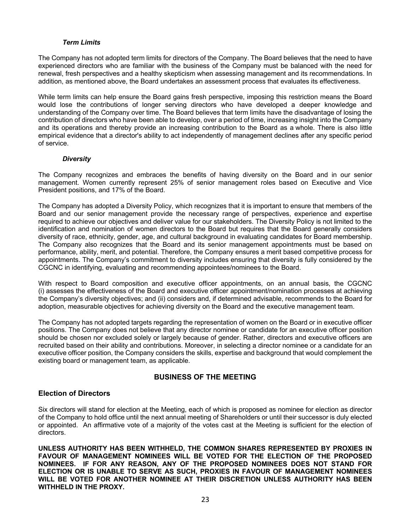## *Term Limits*

The Company has not adopted term limits for directors of the Company. The Board believes that the need to have experienced directors who are familiar with the business of the Company must be balanced with the need for renewal, fresh perspectives and a healthy skepticism when assessing management and its recommendations. In addition, as mentioned above, the Board undertakes an assessment process that evaluates its effectiveness.

While term limits can help ensure the Board gains fresh perspective, imposing this restriction means the Board would lose the contributions of longer serving directors who have developed a deeper knowledge and understanding of the Company over time. The Board believes that term limits have the disadvantage of losing the contribution of directors who have been able to develop, over a period of time, increasing insight into the Company and its operations and thereby provide an increasing contribution to the Board as a whole. There is also little empirical evidence that a director's ability to act independently of management declines after any specific period of service.

## *Diversity*

The Company recognizes and embraces the benefits of having diversity on the Board and in our senior management. Women currently represent 25% of senior management roles based on Executive and Vice President positions, and 17% of the Board.

The Company has adopted a Diversity Policy, which recognizes that it is important to ensure that members of the Board and our senior management provide the necessary range of perspectives, experience and expertise required to achieve our objectives and deliver value for our stakeholders. The Diversity Policy is not limited to the identification and nomination of women directors to the Board but requires that the Board generally considers diversity of race, ethnicity, gender, age, and cultural background in evaluating candidates for Board membership. The Company also recognizes that the Board and its senior management appointments must be based on performance, ability, merit, and potential. Therefore, the Company ensures a merit based competitive process for appointments. The Company's commitment to diversity includes ensuring that diversity is fully considered by the CGCNC in identifying, evaluating and recommending appointees/nominees to the Board.

With respect to Board composition and executive officer appointments, on an annual basis, the CGCNC (i) assesses the effectiveness of the Board and executive officer appointment/nomination processes at achieving the Company's diversity objectives; and (ii) considers and, if determined advisable, recommends to the Board for adoption, measurable objectives for achieving diversity on the Board and the executive management team.

The Company has not adopted targets regarding the representation of women on the Board or in executive officer positions. The Company does not believe that any director nominee or candidate for an executive officer position should be chosen nor excluded solely or largely because of gender. Rather, directors and executive officers are recruited based on their ability and contributions. Moreover, in selecting a director nominee or a candidate for an executive officer position, the Company considers the skills, expertise and background that would complement the existing board or management team, as applicable.

# **BUSINESS OF THE MEETING**

# **Election of Directors**

Six directors will stand for election at the Meeting, each of which is proposed as nominee for election as director of the Company to hold office until the next annual meeting of Shareholders or until their successor is duly elected or appointed. An affirmative vote of a majority of the votes cast at the Meeting is sufficient for the election of directors.

**UNLESS AUTHORITY HAS BEEN WITHHELD, THE COMMON SHARES REPRESENTED BY PROXIES IN FAVOUR OF MANAGEMENT NOMINEES WILL BE VOTED FOR THE ELECTION OF THE PROPOSED NOMINEES. IF FOR ANY REASON, ANY OF THE PROPOSED NOMINEES DOES NOT STAND FOR ELECTION OR IS UNABLE TO SERVE AS SUCH, PROXIES IN FAVOUR OF MANAGEMENT NOMINEES WILL BE VOTED FOR ANOTHER NOMINEE AT THEIR DISCRETION UNLESS AUTHORITY HAS BEEN WITHHELD IN THE PROXY.**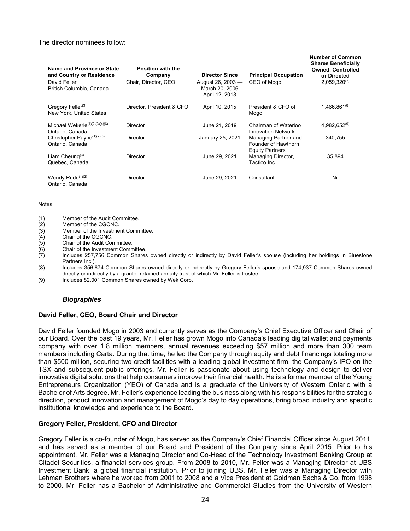#### The director nominees follow:

| Name and Province or State<br>and Country or Residence        | <b>Position with the</b><br>Company | <b>Director Since</b>                                 | <b>Principal Occupation</b>                                           | <b>Number of Common</b><br><b>Shares Beneficially</b><br><b>Owned, Controlled</b><br>or Directed |
|---------------------------------------------------------------|-------------------------------------|-------------------------------------------------------|-----------------------------------------------------------------------|--------------------------------------------------------------------------------------------------|
| David Feller<br>British Columbia, Canada                      | Chair, Director, CEO                | August 26, 2003 -<br>March 20, 2006<br>April 12, 2013 | CEO of Mogo                                                           | $2,059,320^{(7)}$                                                                                |
| Gregory Feller <sup>(3)</sup><br>New York, United States      | Director, President & CFO           | April 10, 2015                                        | President & CFO of<br>Mogo                                            | $1,466,861^{(8)}$                                                                                |
| Michael Wekerle <sup>(1)(2)(3)(4)(6)</sup><br>Ontario, Canada | Director                            | June 21, 2019                                         | Chairman of Waterloo<br><b>Innovation Network</b>                     | $4,982,652^{(9)}$                                                                                |
| Christopher Payne <sup>(1)(2)(5)</sup><br>Ontario, Canada     | Director                            | January 25, 2021                                      | Managing Partner and<br>Founder of Hawthorn<br><b>Equity Partners</b> | 340,755                                                                                          |
| Liam Cheung $(3)$<br>Quebec, Canada                           | Director                            | June 29, 2021                                         | Managing Director,<br>Tactico Inc.                                    | 35,894                                                                                           |
| Wendy Rudd $(1)(2)$<br>Ontario, Canada                        | Director                            | June 29, 2021                                         | Consultant                                                            | Nil                                                                                              |

Notes:

- (2) Member of the CGCNC.
- (3) Member of the Investment Committee.
- (4) Chair of the CGCNC.<br>(5) Chair of the Audit Cor
- Chair of the Audit Committee.
- (6) Chair of the Investment Committee.<br>(7) Includes 257,756 Common Shares
- Includes 257,756 Common Shares owned directly or indirectly by David Feller's spouse (including her holdings in Bluestone Partners Inc.).

(8) Includes 356,674 Common Shares owned directly or indirectly by Gregory Feller's spouse and 174,937 Common Shares owned directly or indirectly by a grantor retained annuity trust of which Mr. Feller is trustee.

(9) Includes 82,001 Common Shares owned by Wek Corp.

#### *Biographies*

# **David Feller, CEO, Board Chair and Director**

David Feller founded Mogo in 2003 and currently serves as the Company's Chief Executive Officer and Chair of our Board. Over the past 19 years, Mr. Feller has grown Mogo into Canada's leading digital wallet and payments company with over 1.8 million members, annual revenues exceeding \$57 million and more than 300 team members including Carta. During that time, he led the Company through equity and debt financings totaling more than \$500 million, securing two credit facilities with a leading global investment firm, the Company's IPO on the TSX and subsequent public offerings. Mr. Feller is passionate about using technology and design to deliver innovative digital solutions that help consumers improve their financial health. He is a former member of the Young Entrepreneurs Organization (YEO) of Canada and is a graduate of the University of Western Ontario with a Bachelor of Arts degree. Mr. Feller's experience leading the business along with his responsibilities for the strategic direction, product innovation and management of Mogo's day to day operations, bring broad industry and specific institutional knowledge and experience to the Board.

#### **Gregory Feller, President, CFO and Director**

Gregory Feller is a co-founder of Mogo, has served as the Company's Chief Financial Officer since August 2011, and has served as a member of our Board and President of the Company since April 2015. Prior to his appointment, Mr. Feller was a Managing Director and Co-Head of the Technology Investment Banking Group at Citadel Securities, a financial services group. From 2008 to 2010, Mr. Feller was a Managing Director at UBS Investment Bank, a global financial institution. Prior to joining UBS, Mr. Feller was a Managing Director with Lehman Brothers where he worked from 2001 to 2008 and a Vice President at Goldman Sachs & Co. from 1998 to 2000. Mr. Feller has a Bachelor of Administrative and Commercial Studies from the University of Western

<sup>(1)</sup> Member of the Audit Committee.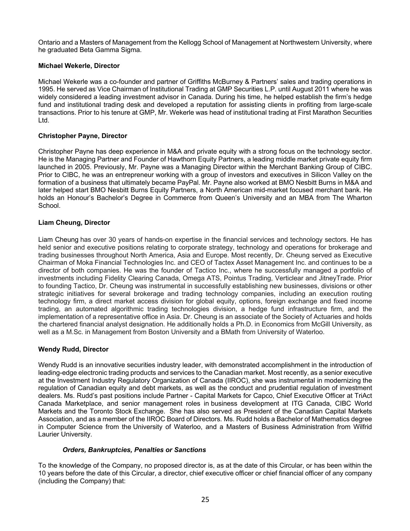Ontario and a Masters of Management from the Kellogg School of Management at Northwestern University, where he graduated Beta Gamma Sigma.

## **Michael Wekerle, Director**

Michael Wekerle was a co-founder and partner of Griffiths McBurney & Partners' sales and trading operations in 1995. He served as Vice Chairman of Institutional Trading at GMP Securities L.P. until August 2011 where he was widely considered a leading investment advisor in Canada. During his time, he helped establish the firm's hedge fund and institutional trading desk and developed a reputation for assisting clients in profiting from large-scale transactions. Prior to his tenure at GMP, Mr. Wekerle was head of institutional trading at First Marathon Securities Ltd.

## **Christopher Payne, Director**

Christopher Payne has deep experience in M&A and private equity with a strong focus on the technology sector. He is the Managing Partner and Founder of Hawthorn Equity Partners, a leading middle market private equity firm launched in 2005. Previously, Mr. Payne was a Managing Director within the Merchant Banking Group of CIBC. Prior to CIBC, he was an entrepreneur working with a group of investors and executives in Silicon Valley on the formation of a business that ultimately became PayPal. Mr. Payne also worked at BMO Nesbitt Burns in M&A and later helped start BMO Nesbitt Burns Equity Partners, a North American mid-market focused merchant bank. He holds an Honour's Bachelor's Degree in Commerce from Queen's University and an MBA from The Wharton School.

## **Liam Cheung, Director**

Liam Cheung has over 30 years of hands-on expertise in the financial services and technology sectors. He has held senior and executive positions relating to corporate strategy, technology and operations for brokerage and trading businesses throughout North America, Asia and Europe. Most recently, Dr. Cheung served as Executive Chairman of Moka Financial Technologies Inc. and CEO of Tactex Asset Management Inc. and continues to be a director of both companies. He was the founder of Tactico Inc., where he successfully managed a portfolio of investments including Fidelity Clearing Canada, Omega ATS, Pointus Trading, Verticlear and JitneyTrade. Prior to founding Tactico, Dr. Cheung was instrumental in successfully establishing new businesses, divisions or other strategic initiatives for several brokerage and trading technology companies, including an execution routing technology firm, a direct market access division for global equity, options, foreign exchange and fixed income trading, an automated algorithmic trading technologies division, a hedge fund infrastructure firm, and the implementation of a representative office in Asia. Dr. Cheung is an associate of the Society of Actuaries and holds the chartered financial analyst designation. He additionally holds a Ph.D. in Economics from McGill University, as well as a M.Sc. in Management from Boston University and a BMath from University of Waterloo.

#### **Wendy Rudd, Director**

Wendy Rudd is an innovative securities industry leader, with demonstrated accomplishment in the introduction of leading-edge electronic trading products and services to the Canadian market. Most recently, as a senior executive at the Investment Industry Regulatory Organization of Canada (IIROC), she was instrumental in modernizing the regulation of Canadian equity and debt markets, as well as the conduct and prudential regulation of investment dealers. Ms. Rudd's past positions include Partner - Capital Markets for Capco, Chief Executive Officer at TriAct Canada Marketplace, and senior management roles in business development at ITG Canada, CIBC World Markets and the Toronto Stock Exchange. She has also served as President of the Canadian Capital Markets Association, and as a member of the IIROC Board of Directors. Ms. Rudd holds a Bachelor of Mathematics degree in Computer Science from the University of Waterloo, and a Masters of Business Administration from Wilfrid Laurier University.

#### *Orders, Bankruptcies, Penalties or Sanctions*

To the knowledge of the Company, no proposed director is, as at the date of this Circular, or has been within the 10 years before the date of this Circular, a director, chief executive officer or chief financial officer of any company (including the Company) that: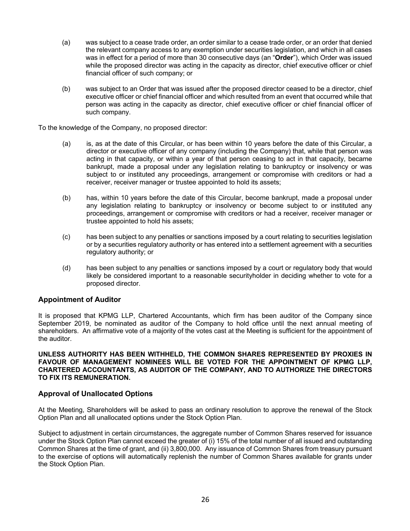- (a) was subject to a cease trade order, an order similar to a cease trade order, or an order that denied the relevant company access to any exemption under securities legislation, and which in all cases was in effect for a period of more than 30 consecutive days (an "**Order**"), which Order was issued while the proposed director was acting in the capacity as director, chief executive officer or chief financial officer of such company; or
- (b) was subject to an Order that was issued after the proposed director ceased to be a director, chief executive officer or chief financial officer and which resulted from an event that occurred while that person was acting in the capacity as director, chief executive officer or chief financial officer of such company.

To the knowledge of the Company, no proposed director:

- (a) is, as at the date of this Circular, or has been within 10 years before the date of this Circular, a director or executive officer of any company (including the Company) that, while that person was acting in that capacity, or within a year of that person ceasing to act in that capacity, became bankrupt, made a proposal under any legislation relating to bankruptcy or insolvency or was subject to or instituted any proceedings, arrangement or compromise with creditors or had a receiver, receiver manager or trustee appointed to hold its assets;
- (b) has, within 10 years before the date of this Circular, become bankrupt, made a proposal under any legislation relating to bankruptcy or insolvency or become subject to or instituted any proceedings, arrangement or compromise with creditors or had a receiver, receiver manager or trustee appointed to hold his assets;
- (c) has been subject to any penalties or sanctions imposed by a court relating to securities legislation or by a securities regulatory authority or has entered into a settlement agreement with a securities regulatory authority; or
- (d) has been subject to any penalties or sanctions imposed by a court or regulatory body that would likely be considered important to a reasonable securityholder in deciding whether to vote for a proposed director.

# **Appointment of Auditor**

It is proposed that KPMG LLP, Chartered Accountants, which firm has been auditor of the Company since September 2019, be nominated as auditor of the Company to hold office until the next annual meeting of shareholders. An affirmative vote of a majority of the votes cast at the Meeting is sufficient for the appointment of the auditor.

**UNLESS AUTHORITY HAS BEEN WITHHELD, THE COMMON SHARES REPRESENTED BY PROXIES IN FAVOUR OF MANAGEMENT NOMINEES WILL BE VOTED FOR THE APPOINTMENT OF KPMG LLP, CHARTERED ACCOUNTANTS, AS AUDITOR OF THE COMPANY, AND TO AUTHORIZE THE DIRECTORS TO FIX ITS REMUNERATION.** 

#### **Approval of Unallocated Options**

At the Meeting, Shareholders will be asked to pass an ordinary resolution to approve the renewal of the Stock Option Plan and all unallocated options under the Stock Option Plan.

Subject to adjustment in certain circumstances, the aggregate number of Common Shares reserved for issuance under the Stock Option Plan cannot exceed the greater of (i) 15% of the total number of all issued and outstanding Common Shares at the time of grant, and (ii) 3,800,000. Any issuance of Common Shares from treasury pursuant to the exercise of options will automatically replenish the number of Common Shares available for grants under the Stock Option Plan.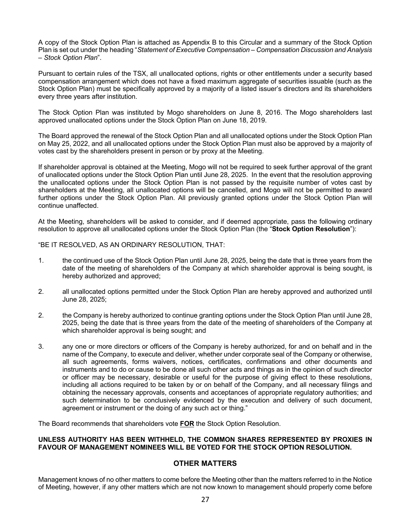A copy of the Stock Option Plan is attached as Appendix B to this Circular and a summary of the Stock Option Plan is set out under the heading "*Statement of Executive Compensation – Compensation Discussion and Analysis – Stock Option Plan*".

Pursuant to certain rules of the TSX, all unallocated options, rights or other entitlements under a security based compensation arrangement which does not have a fixed maximum aggregate of securities issuable (such as the Stock Option Plan) must be specifically approved by a majority of a listed issuer's directors and its shareholders every three years after institution.

The Stock Option Plan was instituted by Mogo shareholders on June 8, 2016. The Mogo shareholders last approved unallocated options under the Stock Option Plan on June 18, 2019.

The Board approved the renewal of the Stock Option Plan and all unallocated options under the Stock Option Plan on May 25, 2022, and all unallocated options under the Stock Option Plan must also be approved by a majority of votes cast by the shareholders present in person or by proxy at the Meeting.

If shareholder approval is obtained at the Meeting, Mogo will not be required to seek further approval of the grant of unallocated options under the Stock Option Plan until June 28, 2025. In the event that the resolution approving the unallocated options under the Stock Option Plan is not passed by the requisite number of votes cast by shareholders at the Meeting, all unallocated options will be cancelled, and Mogo will not be permitted to award further options under the Stock Option Plan. All previously granted options under the Stock Option Plan will continue unaffected.

At the Meeting, shareholders will be asked to consider, and if deemed appropriate, pass the following ordinary resolution to approve all unallocated options under the Stock Option Plan (the "**Stock Option Resolution**"):

"BE IT RESOLVED, AS AN ORDINARY RESOLUTION, THAT:

- 1. the continued use of the Stock Option Plan until June 28, 2025, being the date that is three years from the date of the meeting of shareholders of the Company at which shareholder approval is being sought, is hereby authorized and approved;
- 2. all unallocated options permitted under the Stock Option Plan are hereby approved and authorized until June 28, 2025;
- 2. the Company is hereby authorized to continue granting options under the Stock Option Plan until June 28, 2025, being the date that is three years from the date of the meeting of shareholders of the Company at which shareholder approval is being sought; and
- 3. any one or more directors or officers of the Company is hereby authorized, for and on behalf and in the name of the Company, to execute and deliver, whether under corporate seal of the Company or otherwise, all such agreements, forms waivers, notices, certificates, confirmations and other documents and instruments and to do or cause to be done all such other acts and things as in the opinion of such director or officer may be necessary, desirable or useful for the purpose of giving effect to these resolutions, including all actions required to be taken by or on behalf of the Company, and all necessary filings and obtaining the necessary approvals, consents and acceptances of appropriate regulatory authorities; and such determination to be conclusively evidenced by the execution and delivery of such document, agreement or instrument or the doing of any such act or thing."

The Board recommends that shareholders vote **FOR** the Stock Option Resolution.

## **UNLESS AUTHORITY HAS BEEN WITHHELD, THE COMMON SHARES REPRESENTED BY PROXIES IN FAVOUR OF MANAGEMENT NOMINEES WILL BE VOTED FOR THE STOCK OPTION RESOLUTION.**

# **OTHER MATTERS**

Management knows of no other matters to come before the Meeting other than the matters referred to in the Notice of Meeting, however, if any other matters which are not now known to management should properly come before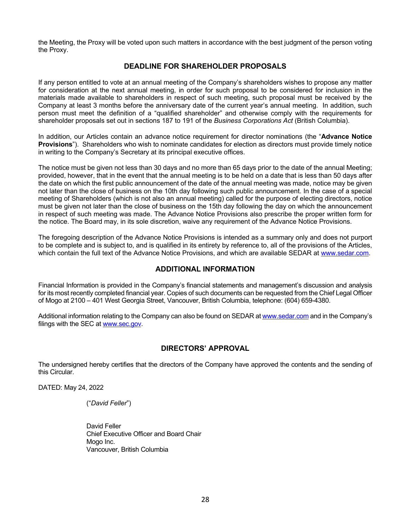the Meeting, the Proxy will be voted upon such matters in accordance with the best judgment of the person voting the Proxy.

# **DEADLINE FOR SHAREHOLDER PROPOSALS**

If any person entitled to vote at an annual meeting of the Company's shareholders wishes to propose any matter for consideration at the next annual meeting, in order for such proposal to be considered for inclusion in the materials made available to shareholders in respect of such meeting, such proposal must be received by the Company at least 3 months before the anniversary date of the current year's annual meeting. In addition, such person must meet the definition of a "qualified shareholder" and otherwise comply with the requirements for shareholder proposals set out in sections 187 to 191 of the *Business Corporations Act* (British Columbia).

In addition, our Articles contain an advance notice requirement for director nominations (the "**Advance Notice Provisions**"). Shareholders who wish to nominate candidates for election as directors must provide timely notice in writing to the Company's Secretary at its principal executive offices.

The notice must be given not less than 30 days and no more than 65 days prior to the date of the annual Meeting; provided, however, that in the event that the annual meeting is to be held on a date that is less than 50 days after the date on which the first public announcement of the date of the annual meeting was made, notice may be given not later than the close of business on the 10th day following such public announcement. In the case of a special meeting of Shareholders (which is not also an annual meeting) called for the purpose of electing directors, notice must be given not later than the close of business on the 15th day following the day on which the announcement in respect of such meeting was made. The Advance Notice Provisions also prescribe the proper written form for the notice. The Board may, in its sole discretion, waive any requirement of the Advance Notice Provisions.

The foregoing description of the Advance Notice Provisions is intended as a summary only and does not purport to be complete and is subject to, and is qualified in its entirety by reference to, all of the provisions of the Articles, which contain the full text of the Advance Notice Provisions, and which are available SEDAR at www.sedar.com.

# **ADDITIONAL INFORMATION**

Financial Information is provided in the Company's financial statements and management's discussion and analysis for its most recently completed financial year. Copies of such documents can be requested from the Chief Legal Officer of Mogo at 2100 – 401 West Georgia Street, Vancouver, British Columbia, telephone: (604) 659-4380.

Additional information relating to the Company can also be found on SEDAR at www.sedar.com and in the Company's filings with the SEC at www.sec.gov.

# **DIRECTORS' APPROVAL**

The undersigned hereby certifies that the directors of the Company have approved the contents and the sending of this Circular.

DATED: May 24, 2022

("*David Feller*")

 David Feller Chief Executive Officer and Board Chair Mogo Inc. Vancouver, British Columbia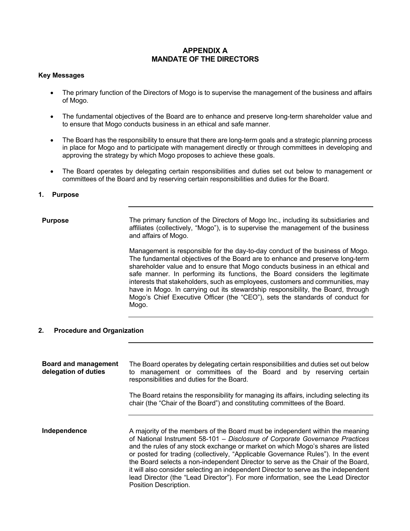# **APPENDIX A MANDATE OF THE DIRECTORS**

#### **Key Messages**

- The primary function of the Directors of Mogo is to supervise the management of the business and affairs of Mogo.
- The fundamental objectives of the Board are to enhance and preserve long-term shareholder value and to ensure that Mogo conducts business in an ethical and safe manner.
- The Board has the responsibility to ensure that there are long-term goals and a strategic planning process in place for Mogo and to participate with management directly or through committees in developing and approving the strategy by which Mogo proposes to achieve these goals.
- The Board operates by delegating certain responsibilities and duties set out below to management or committees of the Board and by reserving certain responsibilities and duties for the Board.

## **1. Purpose**

**Purpose** The primary function of the Directors of Mogo Inc., including its subsidiaries and affiliates (collectively, "Mogo"), is to supervise the management of the business and affairs of Mogo.

> Management is responsible for the day-to-day conduct of the business of Mogo. The fundamental objectives of the Board are to enhance and preserve long-term shareholder value and to ensure that Mogo conducts business in an ethical and safe manner. In performing its functions, the Board considers the legitimate interests that stakeholders, such as employees, customers and communities, may have in Mogo. In carrying out its stewardship responsibility, the Board, through Mogo's Chief Executive Officer (the "CEO"), sets the standards of conduct for Mogo.

# **2. Procedure and Organization**

**Board and management delegation of duties** The Board operates by delegating certain responsibilities and duties set out below to management or committees of the Board and by reserving certain responsibilities and duties for the Board. The Board retains the responsibility for managing its affairs, including selecting its chair (the "Chair of the Board") and constituting committees of the Board. **Independence** A majority of the members of the Board must be independent within the meaning of National Instrument 58-101 – *Disclosure of Corporate Governance Practices*  and the rules of any stock exchange or market on which Mogo's shares are listed or posted for trading (collectively, "Applicable Governance Rules"). In the event the Board selects a non-independent Director to serve as the Chair of the Board, it will also consider selecting an independent Director to serve as the independent lead Director (the "Lead Director"). For more information, see the Lead Director Position Description.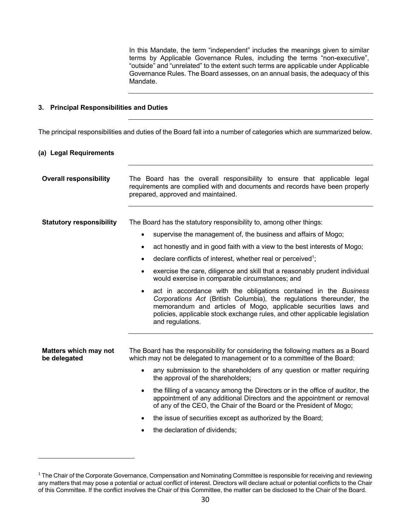In this Mandate, the term "independent" includes the meanings given to similar terms by Applicable Governance Rules, including the terms "non-executive", "outside" and "unrelated" to the extent such terms are applicable under Applicable Governance Rules. The Board assesses, on an annual basis, the adequacy of this Mandate.

## **3. Principal Responsibilities and Duties**

The principal responsibilities and duties of the Board fall into a number of categories which are summarized below.

#### **(a) Legal Requirements**

| <b>Overall responsibility</b>                | The Board has the overall responsibility to ensure that applicable legal<br>requirements are complied with and documents and records have been properly<br>prepared, approved and maintained.                                                                                                                       |  |  |
|----------------------------------------------|---------------------------------------------------------------------------------------------------------------------------------------------------------------------------------------------------------------------------------------------------------------------------------------------------------------------|--|--|
|                                              |                                                                                                                                                                                                                                                                                                                     |  |  |
| <b>Statutory responsibility</b>              | The Board has the statutory responsibility to, among other things:                                                                                                                                                                                                                                                  |  |  |
|                                              | supervise the management of, the business and affairs of Mogo;                                                                                                                                                                                                                                                      |  |  |
|                                              | act honestly and in good faith with a view to the best interests of Mogo;<br>٠                                                                                                                                                                                                                                      |  |  |
|                                              | declare conflicts of interest, whether real or perceived <sup>1</sup> ;                                                                                                                                                                                                                                             |  |  |
|                                              | exercise the care, diligence and skill that a reasonably prudent individual<br>would exercise in comparable circumstances; and                                                                                                                                                                                      |  |  |
|                                              | act in accordance with the obligations contained in the Business<br>٠<br>Corporations Act (British Columbia), the regulations thereunder, the<br>memorandum and articles of Mogo, applicable securities laws and<br>policies, applicable stock exchange rules, and other applicable legislation<br>and regulations. |  |  |
| <b>Matters which may not</b><br>be delegated | The Board has the responsibility for considering the following matters as a Board<br>which may not be delegated to management or to a committee of the Board:                                                                                                                                                       |  |  |
|                                              | any submission to the shareholders of any question or matter requiring<br>the approval of the shareholders;                                                                                                                                                                                                         |  |  |
|                                              | the filling of a vacancy among the Directors or in the office of auditor, the<br>$\bullet$<br>appointment of any additional Directors and the appointment or removal<br>of any of the CEO, the Chair of the Board or the President of Mogo;                                                                         |  |  |
|                                              | the issue of securities except as authorized by the Board;<br>٠                                                                                                                                                                                                                                                     |  |  |
|                                              | the declaration of dividends;<br>٠                                                                                                                                                                                                                                                                                  |  |  |
|                                              |                                                                                                                                                                                                                                                                                                                     |  |  |

<sup>&</sup>lt;sup>1</sup> The Chair of the Corporate Governance, Compensation and Nominating Committee is responsible for receiving and reviewing any matters that may pose a potential or actual conflict of interest. Directors will declare actual or potential conflicts to the Chair of this Committee. If the conflict involves the Chair of this Committee, the matter can be disclosed to the Chair of the Board.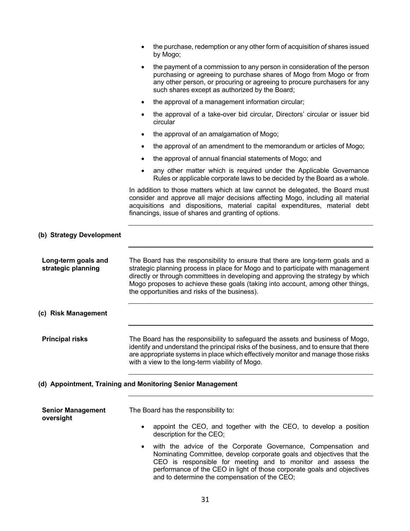|                                           | the purchase, redemption or any other form of acquisition of shares issued<br>by Mogo;                                                                                                                                                                                                                                                                                                    |
|-------------------------------------------|-------------------------------------------------------------------------------------------------------------------------------------------------------------------------------------------------------------------------------------------------------------------------------------------------------------------------------------------------------------------------------------------|
|                                           | the payment of a commission to any person in consideration of the person<br>$\bullet$<br>purchasing or agreeing to purchase shares of Mogo from Mogo or from<br>any other person, or procuring or agreeing to procure purchasers for any<br>such shares except as authorized by the Board;                                                                                                |
|                                           | the approval of a management information circular;<br>٠                                                                                                                                                                                                                                                                                                                                   |
|                                           | the approval of a take-over bid circular, Directors' circular or issuer bid<br>٠<br>circular                                                                                                                                                                                                                                                                                              |
|                                           | the approval of an amalgamation of Mogo;<br>٠                                                                                                                                                                                                                                                                                                                                             |
|                                           | the approval of an amendment to the memorandum or articles of Mogo;<br>٠                                                                                                                                                                                                                                                                                                                  |
|                                           | the approval of annual financial statements of Mogo; and<br>٠                                                                                                                                                                                                                                                                                                                             |
|                                           | any other matter which is required under the Applicable Governance<br>Rules or applicable corporate laws to be decided by the Board as a whole.                                                                                                                                                                                                                                           |
|                                           | In addition to those matters which at law cannot be delegated, the Board must<br>consider and approve all major decisions affecting Mogo, including all material<br>acquisitions and dispositions, material capital expenditures, material debt<br>financings, issue of shares and granting of options.                                                                                   |
| (b) Strategy Development                  |                                                                                                                                                                                                                                                                                                                                                                                           |
| Long-term goals and<br>strategic planning | The Board has the responsibility to ensure that there are long-term goals and a<br>strategic planning process in place for Mogo and to participate with management<br>directly or through committees in developing and approving the strategy by which<br>Mogo proposes to achieve these goals (taking into account, among other things,<br>the opportunities and risks of the business). |
| (c) Risk Management                       |                                                                                                                                                                                                                                                                                                                                                                                           |
| <b>Principal risks</b>                    | The Board has the responsibility to safeguard the assets and business of Mogo,<br>identify and understand the principal risks of the business, and to ensure that there<br>are appropriate systems in place which effectively monitor and manage those risks<br>with a view to the long-term viability of Mogo.                                                                           |
|                                           | (d) Appointment, Training and Monitoring Senior Management                                                                                                                                                                                                                                                                                                                                |
| <b>Senior Management</b><br>oversight     | The Board has the responsibility to:                                                                                                                                                                                                                                                                                                                                                      |
|                                           | appoint the CEO, and together with the CEO, to develop a position<br>٠<br>description for the CEO;                                                                                                                                                                                                                                                                                        |
|                                           | with the advice of the Corporate Governance, Compensation and<br>$\bullet$<br>Nominating Committee, develop corporate goals and objectives that the<br>CEO is responsible for meeting and to monitor and assess the<br>performance of the CEO in light of those corporate goals and objectives<br>and to determine the compensation of the CEO;                                           |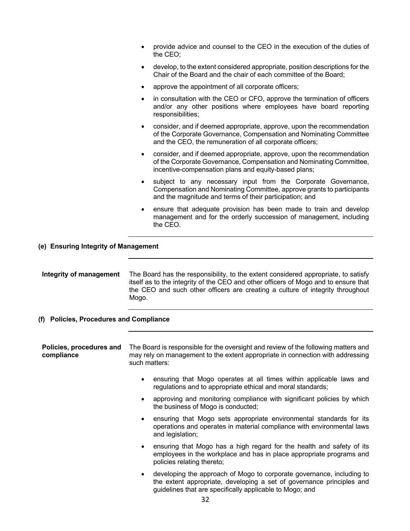- provide advice and counsel to the CEO in the execution of the duties of the CEO;
- develop, to the extent considered appropriate, position descriptions for the Chair of the Board and the chair of each committee of the Board;
- approve the appointment of all corporate officers;
- in consultation with the CEO or CFO, approve the termination of officers and/or any other positions where employees have board reporting responsibilities;
- consider, and if deemed appropriate, approve, upon the recommendation of the Corporate Governance, Compensation and Nominating Committee and the CEO, the remuneration of all corporate officers;
- consider, and if deemed appropriate, approve, upon the recommendation of the Corporate Governance, Compensation and Nominating Committee, incentive-compensation plans and equity-based plans;
- subject to any necessary input from the Corporate Governance, Compensation and Nominating Committee, approve grants to participants and the magnitude and terms of their participation; and
- ensure that adequate provision has been made to train and develop management and for the orderly succession of management, including the CEO.

**(e) Ensuring Integrity of Management** 

| Integrity of management | The Board has the responsibility, to the extent considered appropriate, to satisfy  |
|-------------------------|-------------------------------------------------------------------------------------|
|                         | itself as to the integrity of the CEO and other officers of Mogo and to ensure that |
|                         | the CEO and such other officers are creating a culture of integrity throughout      |
|                         | Mogo.                                                                               |

**(f) Policies, Procedures and Compliance** 

| Policies, procedures and<br>compliance | The Board is responsible for the oversight and review of the following matters and<br>may rely on management to the extent appropriate in connection with addressing<br>such matters: |
|----------------------------------------|---------------------------------------------------------------------------------------------------------------------------------------------------------------------------------------|
|                                        |                                                                                                                                                                                       |

- ensuring that Mogo operates at all times within applicable laws and regulations and to appropriate ethical and moral standards;
- approving and monitoring compliance with significant policies by which the business of Mogo is conducted;
- ensuring that Mogo sets appropriate environmental standards for its operations and operates in material compliance with environmental laws and legislation;
- ensuring that Mogo has a high regard for the health and safety of its employees in the workplace and has in place appropriate programs and policies relating thereto;
- developing the approach of Mogo to corporate governance, including to the extent appropriate, developing a set of governance principles and guidelines that are specifically applicable to Mogo; and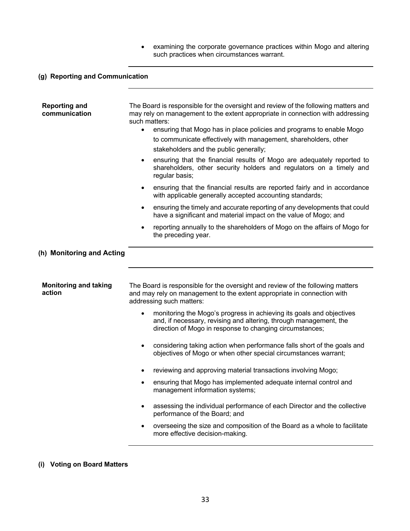• examining the corporate governance practices within Mogo and altering such practices when circumstances warrant.

# **(g) Reporting and Communication**

| <b>Reporting and</b><br>communication  | The Board is responsible for the oversight and review of the following matters and<br>may rely on management to the extent appropriate in connection with addressing<br>such matters:<br>ensuring that Mogo has in place policies and programs to enable Mogo<br>$\bullet$<br>to communicate effectively with management, shareholders, other<br>stakeholders and the public generally;<br>ensuring that the financial results of Mogo are adequately reported to<br>$\bullet$<br>shareholders, other security holders and regulators on a timely and<br>regular basis;<br>ensuring that the financial results are reported fairly and in accordance<br>$\bullet$<br>with applicable generally accepted accounting standards; |  |
|----------------------------------------|-------------------------------------------------------------------------------------------------------------------------------------------------------------------------------------------------------------------------------------------------------------------------------------------------------------------------------------------------------------------------------------------------------------------------------------------------------------------------------------------------------------------------------------------------------------------------------------------------------------------------------------------------------------------------------------------------------------------------------|--|
|                                        | ensuring the timely and accurate reporting of any developments that could<br>$\bullet$<br>have a significant and material impact on the value of Mogo; and                                                                                                                                                                                                                                                                                                                                                                                                                                                                                                                                                                    |  |
|                                        | reporting annually to the shareholders of Mogo on the affairs of Mogo for<br>٠<br>the preceding year.                                                                                                                                                                                                                                                                                                                                                                                                                                                                                                                                                                                                                         |  |
| (h) Monitoring and Acting              |                                                                                                                                                                                                                                                                                                                                                                                                                                                                                                                                                                                                                                                                                                                               |  |
| <b>Monitoring and taking</b><br>action | The Board is responsible for the oversight and review of the following matters<br>and may rely on management to the extent appropriate in connection with<br>addressing such matters:                                                                                                                                                                                                                                                                                                                                                                                                                                                                                                                                         |  |
|                                        | monitoring the Mogo's progress in achieving its goals and objectives<br>$\bullet$<br>and, if necessary, revising and altering, through management, the<br>direction of Mogo in response to changing circumstances;                                                                                                                                                                                                                                                                                                                                                                                                                                                                                                            |  |
|                                        | considering taking action when performance falls short of the goals and<br>$\bullet$<br>objectives of Mogo or when other special circumstances warrant;                                                                                                                                                                                                                                                                                                                                                                                                                                                                                                                                                                       |  |
|                                        | reviewing and approving material transactions involving Mogo;<br>٠                                                                                                                                                                                                                                                                                                                                                                                                                                                                                                                                                                                                                                                            |  |
|                                        | ensuring that Mogo has implemented adequate internal control and<br>management information systems;                                                                                                                                                                                                                                                                                                                                                                                                                                                                                                                                                                                                                           |  |
|                                        | assessing the individual performance of each Director and the collective<br>performance of the Board; and                                                                                                                                                                                                                                                                                                                                                                                                                                                                                                                                                                                                                     |  |
|                                        | overseeing the size and composition of the Board as a whole to facilitate<br>more effective decision-making.                                                                                                                                                                                                                                                                                                                                                                                                                                                                                                                                                                                                                  |  |

## **(i) Voting on Board Matters**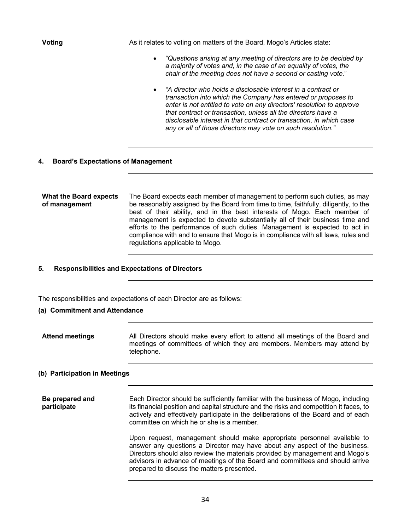**Voting The Constant Voting Constant As it relates to voting on matters of the Board, Mogo's Articles state:** 

- *"Questions arising at any meeting of directors are to be decided by a majority of votes and, in the case of an equality of votes, the chair of the meeting does not have a second or casting vote.*"
- *"A director who holds a disclosable interest in a contract or transaction into which the Company has entered or proposes to enter is not entitled to vote on any directors' resolution to approve that contract or transaction, unless all the directors have a disclosable interest in that contract or transaction, in which case any or all of those directors may vote on such resolution."*

#### **4. Board's Expectations of Management**

#### **What the Board expects of management**  The Board expects each member of management to perform such duties, as may be reasonably assigned by the Board from time to time, faithfully, diligently, to the best of their ability, and in the best interests of Mogo. Each member of management is expected to devote substantially all of their business time and efforts to the performance of such duties. Management is expected to act in compliance with and to ensure that Mogo is in compliance with all laws, rules and regulations applicable to Mogo.

#### **5. Responsibilities and Expectations of Directors**

The responsibilities and expectations of each Director are as follows:

## **(a) Commitment and Attendance**

**Attend meetings** All Directors should make every effort to attend all meetings of the Board and meetings of committees of which they are members. Members may attend by telephone.

#### **(b) Participation in Meetings**

| Be prepared and<br>participate | Each Director should be sufficiently familiar with the business of Mogo, including<br>its financial position and capital structure and the risks and competition it faces, to<br>actively and effectively participate in the deliberations of the Board and of each<br>committee on which he or she is a member.                                                     |
|--------------------------------|----------------------------------------------------------------------------------------------------------------------------------------------------------------------------------------------------------------------------------------------------------------------------------------------------------------------------------------------------------------------|
|                                | Upon request, management should make appropriate personnel available to<br>answer any questions a Director may have about any aspect of the business.<br>Directors should also review the materials provided by management and Mogo's<br>advisors in advance of meetings of the Board and committees and should arrive<br>prepared to discuss the matters presented. |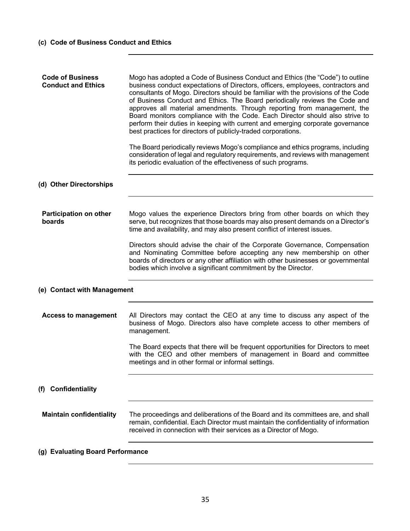| <b>Code of Business</b><br><b>Conduct and Ethics</b> | Mogo has adopted a Code of Business Conduct and Ethics (the "Code") to outline<br>business conduct expectations of Directors, officers, employees, contractors and<br>consultants of Mogo. Directors should be familiar with the provisions of the Code<br>of Business Conduct and Ethics. The Board periodically reviews the Code and<br>approves all material amendments. Through reporting from management, the<br>Board monitors compliance with the Code. Each Director should also strive to<br>perform their duties in keeping with current and emerging corporate governance<br>best practices for directors of publicly-traded corporations. |
|------------------------------------------------------|-------------------------------------------------------------------------------------------------------------------------------------------------------------------------------------------------------------------------------------------------------------------------------------------------------------------------------------------------------------------------------------------------------------------------------------------------------------------------------------------------------------------------------------------------------------------------------------------------------------------------------------------------------|
|                                                      | The Board periodically reviews Mogo's compliance and ethics programs, including<br>consideration of legal and regulatory requirements, and reviews with management<br>its periodic evaluation of the effectiveness of such programs.                                                                                                                                                                                                                                                                                                                                                                                                                  |
| (d) Other Directorships                              |                                                                                                                                                                                                                                                                                                                                                                                                                                                                                                                                                                                                                                                       |
| <b>Participation on other</b><br>boards              | Mogo values the experience Directors bring from other boards on which they<br>serve, but recognizes that those boards may also present demands on a Director's<br>time and availability, and may also present conflict of interest issues.                                                                                                                                                                                                                                                                                                                                                                                                            |
|                                                      | Directors should advise the chair of the Corporate Governance, Compensation<br>and Nominating Committee before accepting any new membership on other<br>boards of directors or any other affiliation with other businesses or governmental<br>bodies which involve a significant commitment by the Director.                                                                                                                                                                                                                                                                                                                                          |
| (e) Contact with Management                          |                                                                                                                                                                                                                                                                                                                                                                                                                                                                                                                                                                                                                                                       |
| <b>Access to management</b>                          | All Directors may contact the CEO at any time to discuss any aspect of the<br>business of Mogo. Directors also have complete access to other members of<br>management.                                                                                                                                                                                                                                                                                                                                                                                                                                                                                |
|                                                      | The Board expects that there will be frequent opportunities for Directors to meet<br>with the CEO and other members of management in Board and committee<br>meetings and in other formal or informal settings.                                                                                                                                                                                                                                                                                                                                                                                                                                        |
| <b>Confidentiality</b><br>(f)                        |                                                                                                                                                                                                                                                                                                                                                                                                                                                                                                                                                                                                                                                       |
| <b>Maintain confidentiality</b>                      | The proceedings and deliberations of the Board and its committees are, and shall<br>remain, confidential. Each Director must maintain the confidentiality of information<br>received in connection with their services as a Director of Mogo.                                                                                                                                                                                                                                                                                                                                                                                                         |
| (g) Evaluating Board Performance                     |                                                                                                                                                                                                                                                                                                                                                                                                                                                                                                                                                                                                                                                       |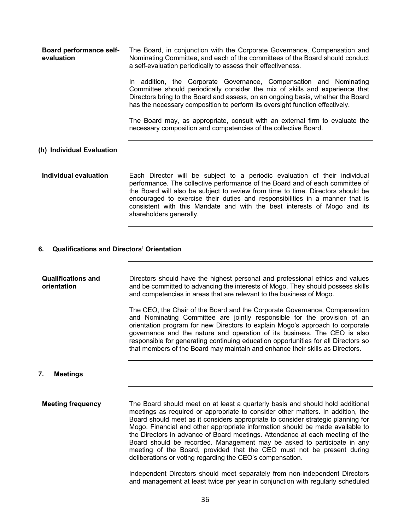| <b>Board performance self-</b><br>evaluation | The Board, in conjunction with the Corporate Governance, Compensation and<br>Nominating Committee, and each of the committees of the Board should conduct<br>a self-evaluation periodically to assess their effectiveness.                                                                                                                                                                                 |  |
|----------------------------------------------|------------------------------------------------------------------------------------------------------------------------------------------------------------------------------------------------------------------------------------------------------------------------------------------------------------------------------------------------------------------------------------------------------------|--|
|                                              | In addition, the Corporate Governance, Compensation and Nominating<br>Committee should periodically consider the mix of skills and experience that<br>Directors bring to the Board and assess, on an ongoing basis, whether the Board<br>has the necessary composition to perform its oversight function effectively.                                                                                      |  |
|                                              | The Board may, as appropriate, consult with an external firm to evaluate the<br>necessary composition and competencies of the collective Board.                                                                                                                                                                                                                                                            |  |
| (h) Individual Evaluation                    |                                                                                                                                                                                                                                                                                                                                                                                                            |  |
| Individual evaluation                        | Each Director will be subject to a periodic evaluation of their individual<br>performance. The collective performance of the Board and of each committee of<br>the Board will also be subject to review from time to time. Directors should be<br>encouraged to exercise their duties and responsibilities in a manner that is<br>consistent with this Mandate and with the best interests of Mogo and its |  |

#### **6. Qualifications and Directors' Orientation**

shareholders generally.

| <b>Qualifications and</b><br>orientation | Directors should have the highest personal and professional ethics and values<br>and be committed to advancing the interests of Mogo. They should possess skills<br>and competencies in areas that are relevant to the business of Mogo.                                                                                                                                                                                                                                                   |
|------------------------------------------|--------------------------------------------------------------------------------------------------------------------------------------------------------------------------------------------------------------------------------------------------------------------------------------------------------------------------------------------------------------------------------------------------------------------------------------------------------------------------------------------|
|                                          | The CEO, the Chair of the Board and the Corporate Governance, Compensation<br>and Nominating Committee are jointly responsible for the provision of an<br>orientation program for new Directors to explain Mogo's approach to corporate<br>governance and the nature and operation of its business. The CEO is also<br>responsible for generating continuing education opportunities for all Directors so<br>that members of the Board may maintain and enhance their skills as Directors. |

## **7. Meetings**

**Meeting frequency** The Board should meet on at least a quarterly basis and should hold additional meetings as required or appropriate to consider other matters. In addition, the Board should meet as it considers appropriate to consider strategic planning for Mogo. Financial and other appropriate information should be made available to the Directors in advance of Board meetings. Attendance at each meeting of the Board should be recorded. Management may be asked to participate in any meeting of the Board, provided that the CEO must not be present during deliberations or voting regarding the CEO's compensation.

> Independent Directors should meet separately from non-independent Directors and management at least twice per year in conjunction with regularly scheduled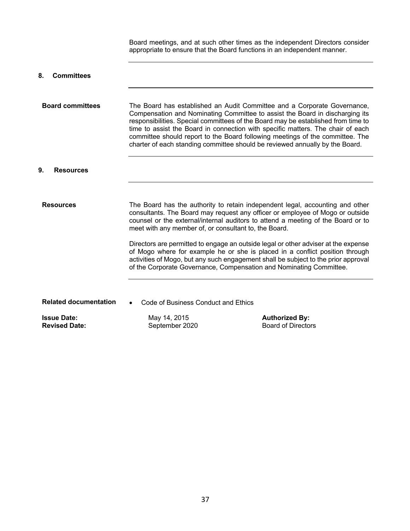Board meetings, and at such other times as the independent Directors consider appropriate to ensure that the Board functions in an independent manner. **8. Committees Board committees** The Board has established an Audit Committee and a Corporate Governance, Compensation and Nominating Committee to assist the Board in discharging its responsibilities. Special committees of the Board may be established from time to time to assist the Board in connection with specific matters. The chair of each committee should report to the Board following meetings of the committee. The charter of each standing committee should be reviewed annually by the Board. **9. Resources** 

**Resources** The Board has the authority to retain independent legal, accounting and other consultants. The Board may request any officer or employee of Mogo or outside counsel or the external/internal auditors to attend a meeting of the Board or to meet with any member of, or consultant to, the Board.

> Directors are permitted to engage an outside legal or other adviser at the expense of Mogo where for example he or she is placed in a conflict position through activities of Mogo, but any such engagement shall be subject to the prior approval of the Corporate Governance, Compensation and Nominating Committee.

**Related documentation** • Code of Business Conduct and Ethics

**Issue Date:** May 14, 2015 **Authorized By: Authorized By:** 

**Revised Date:** September 2020 Board of Directors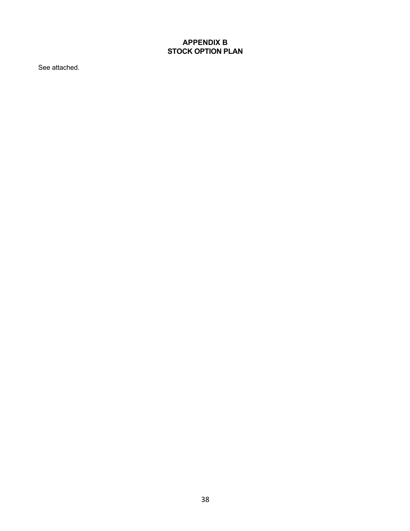# **APPENDIX B STOCK OPTION PLAN**

See attached.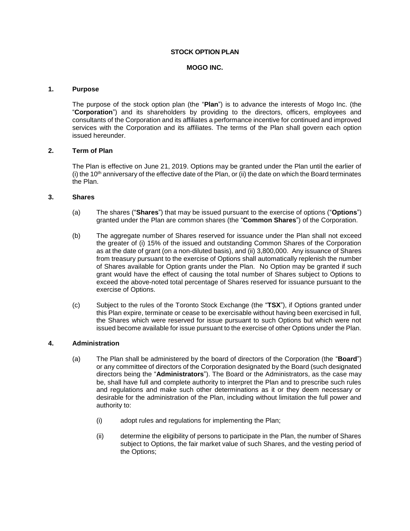## **STOCK OPTION PLAN**

#### **MOGO INC.**

#### **1. Purpose**

The purpose of the stock option plan (the "**Plan**") is to advance the interests of Mogo Inc. (the "**Corporation**") and its shareholders by providing to the directors, officers, employees and consultants of the Corporation and its affiliates a performance incentive for continued and improved services with the Corporation and its affiliates. The terms of the Plan shall govern each option issued hereunder.

## **2. Term of Plan**

The Plan is effective on June 21, 2019. Options may be granted under the Plan until the earlier of (i) the  $10<sup>th</sup>$  anniversary of the effective date of the Plan, or (ii) the date on which the Board terminates the Plan.

## **3. Shares**

- (a) The shares ("**Shares**") that may be issued pursuant to the exercise of options ("**Options**") granted under the Plan are common shares (the "**Common Shares**") of the Corporation.
- (b) The aggregate number of Shares reserved for issuance under the Plan shall not exceed the greater of (i) 15% of the issued and outstanding Common Shares of the Corporation as at the date of grant (on a non-diluted basis), and (ii) 3,800,000. Any issuance of Shares from treasury pursuant to the exercise of Options shall automatically replenish the number of Shares available for Option grants under the Plan. No Option may be granted if such grant would have the effect of causing the total number of Shares subject to Options to exceed the above-noted total percentage of Shares reserved for issuance pursuant to the exercise of Options.
- (c) Subject to the rules of the Toronto Stock Exchange (the "**TSX**"), if Options granted under this Plan expire, terminate or cease to be exercisable without having been exercised in full, the Shares which were reserved for issue pursuant to such Options but which were not issued become available for issue pursuant to the exercise of other Options under the Plan.

#### **4. Administration**

- (a) The Plan shall be administered by the board of directors of the Corporation (the "**Board**") or any committee of directors of the Corporation designated by the Board (such designated directors being the "**Administrators**"). The Board or the Administrators, as the case may be, shall have full and complete authority to interpret the Plan and to prescribe such rules and regulations and make such other determinations as it or they deem necessary or desirable for the administration of the Plan, including without limitation the full power and authority to:
	- (i) adopt rules and regulations for implementing the Plan;
	- (ii) determine the eligibility of persons to participate in the Plan, the number of Shares subject to Options, the fair market value of such Shares, and the vesting period of the Options;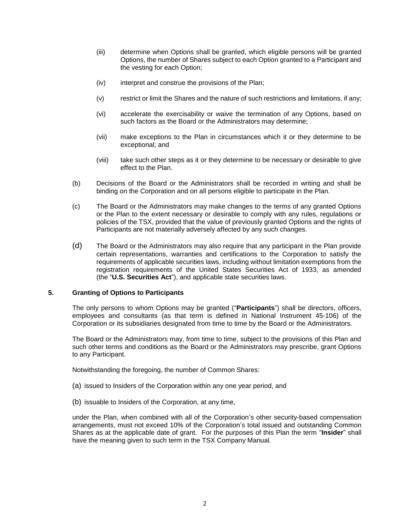- (iii) determine when Options shall be granted, which eligible persons will be granted Options, the number of Shares subject to each Option granted to a Participant and the vesting for each Option;
- (iv) interpret and construe the provisions of the Plan;
- (v) restrict or limit the Shares and the nature of such restrictions and limitations, if any;
- (vi) accelerate the exercisability or waive the termination of any Options, based on such factors as the Board or the Administrators may determine;
- (vii) make exceptions to the Plan in circumstances which it or they determine to be exceptional; and
- (viii) take such other steps as it or they determine to be necessary or desirable to give effect to the Plan.
- (b) Decisions of the Board or the Administrators shall be recorded in writing and shall be binding on the Corporation and on all persons eligible to participate in the Plan.
- (c) The Board or the Administrators may make changes to the terms of any granted Options or the Plan to the extent necessary or desirable to comply with any rules, regulations or policies of the TSX, provided that the value of previously granted Options and the rights of Participants are not materially adversely affected by any such changes.
- (d) The Board or the Administrators may also require that any participant in the Plan provide certain representations, warranties and certifications to the Corporation to satisfy the requirements of applicable securities laws, including without limitation exemptions from the registration requirements of the United States Securities Act of 1933, as amended (the "**U.S. Securities Act**"), and applicable state securities laws.

#### **5. Granting of Options to Participants**

The only persons to whom Options may be granted ("**Participants**") shall be directors, officers, employees and consultants (as that term is defined in National Instrument 45-106) of the Corporation or its subsidiaries designated from time to time by the Board or the Administrators.

The Board or the Administrators may, from time to time, subject to the provisions of this Plan and such other terms and conditions as the Board or the Administrators may prescribe, grant Options to any Participant.

Notwithstanding the foregoing, the number of Common Shares:

- (a) issued to Insiders of the Corporation within any one year period, and
- (b) issuable to Insiders of the Corporation, at any time,

under the Plan, when combined with all of the Corporation's other security-based compensation arrangements, must not exceed 10% of the Corporation's total issued and outstanding Common Shares as at the applicable date of grant. For the purposes of this Plan the term "**Insider**" shall have the meaning given to such term in the TSX Company Manual.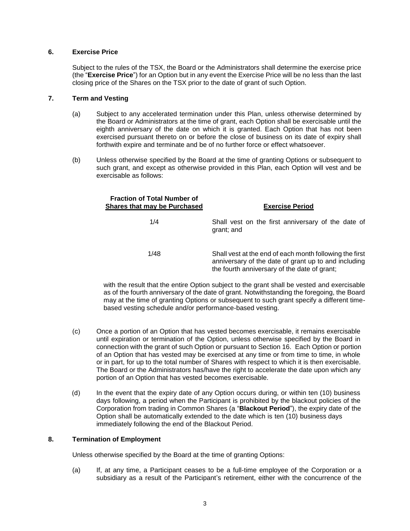## **6. Exercise Price**

Subject to the rules of the TSX, the Board or the Administrators shall determine the exercise price (the "**Exercise Price**") for an Option but in any event the Exercise Price will be no less than the last closing price of the Shares on the TSX prior to the date of grant of such Option.

## **7. Term and Vesting**

- (a) Subject to any accelerated termination under this Plan, unless otherwise determined by the Board or Administrators at the time of grant, each Option shall be exercisable until the eighth anniversary of the date on which it is granted. Each Option that has not been exercised pursuant thereto on or before the close of business on its date of expiry shall forthwith expire and terminate and be of no further force or effect whatsoever.
- (b) Unless otherwise specified by the Board at the time of granting Options or subsequent to such grant, and except as otherwise provided in this Plan, each Option will vest and be exercisable as follows:

| <b>Fraction of Total Number of</b><br><b>Shares that may be Purchased</b> | <b>Exercise Period</b>                                                                                                                                          |
|---------------------------------------------------------------------------|-----------------------------------------------------------------------------------------------------------------------------------------------------------------|
| 1/4                                                                       | Shall vest on the first anniversary of the date of<br>grant; and                                                                                                |
| 1/48                                                                      | Shall vest at the end of each month following the first<br>anniversary of the date of grant up to and including<br>the fourth anniversary of the date of grant; |

with the result that the entire Option subject to the grant shall be vested and exercisable as of the fourth anniversary of the date of grant. Notwithstanding the foregoing, the Board may at the time of granting Options or subsequent to such grant specify a different timebased vesting schedule and/or performance-based vesting.

- (c) Once a portion of an Option that has vested becomes exercisable, it remains exercisable until expiration or termination of the Option, unless otherwise specified by the Board in connection with the grant of such Option or pursuant to Section 16. Each Option or portion of an Option that has vested may be exercised at any time or from time to time, in whole or in part, for up to the total number of Shares with respect to which it is then exercisable. The Board or the Administrators has/have the right to accelerate the date upon which any portion of an Option that has vested becomes exercisable.
- (d) In the event that the expiry date of any Option occurs during, or within ten (10) business days following, a period when the Participant is prohibited by the blackout policies of the Corporation from trading in Common Shares (a "**Blackout Period**"), the expiry date of the Option shall be automatically extended to the date which is ten (10) business days immediately following the end of the Blackout Period.

#### **8. Termination of Employment**

Unless otherwise specified by the Board at the time of granting Options:

(a) If, at any time, a Participant ceases to be a full-time employee of the Corporation or a subsidiary as a result of the Participant's retirement, either with the concurrence of the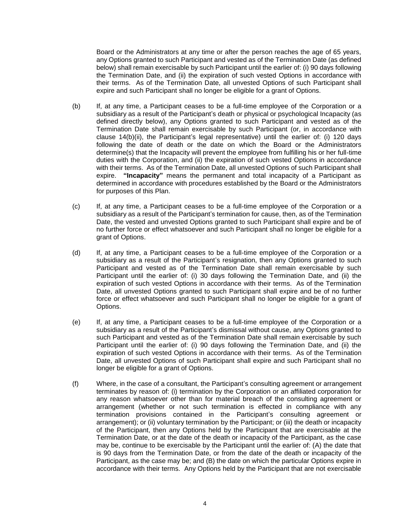Board or the Administrators at any time or after the person reaches the age of 65 years, any Options granted to such Participant and vested as of the Termination Date (as defined below) shall remain exercisable by such Participant until the earlier of: (i) 90 days following the Termination Date, and (ii) the expiration of such vested Options in accordance with their terms. As of the Termination Date, all unvested Options of such Participant shall expire and such Participant shall no longer be eligible for a grant of Options.

- (b) If, at any time, a Participant ceases to be a full-time employee of the Corporation or a subsidiary as a result of the Participant's death or physical or psychological Incapacity (as defined directly below), any Options granted to such Participant and vested as of the Termination Date shall remain exercisable by such Participant (or, in accordance with clause 14(b)(ii), the Participant's legal representative) until the earlier of: (i) 120 days following the date of death or the date on which the Board or the Administrators determine(s) that the Incapacity will prevent the employee from fulfilling his or her full-time duties with the Corporation, and (ii) the expiration of such vested Options in accordance with their terms. As of the Termination Date, all unvested Options of such Participant shall expire. **"Incapacity"** means the permanent and total incapacity of a Participant as determined in accordance with procedures established by the Board or the Administrators for purposes of this Plan.
- (c) If, at any time, a Participant ceases to be a full-time employee of the Corporation or a subsidiary as a result of the Participant's termination for cause, then, as of the Termination Date, the vested and unvested Options granted to such Participant shall expire and be of no further force or effect whatsoever and such Participant shall no longer be eligible for a grant of Options.
- (d) If, at any time, a Participant ceases to be a full-time employee of the Corporation or a subsidiary as a result of the Participant's resignation, then any Options granted to such Participant and vested as of the Termination Date shall remain exercisable by such Participant until the earlier of: (i) 30 days following the Termination Date, and (ii) the expiration of such vested Options in accordance with their terms. As of the Termination Date, all unvested Options granted to such Participant shall expire and be of no further force or effect whatsoever and such Participant shall no longer be eligible for a grant of Options.
- (e) If, at any time, a Participant ceases to be a full-time employee of the Corporation or a subsidiary as a result of the Participant's dismissal without cause, any Options granted to such Participant and vested as of the Termination Date shall remain exercisable by such Participant until the earlier of: (i) 90 days following the Termination Date, and (ii) the expiration of such vested Options in accordance with their terms. As of the Termination Date, all unvested Options of such Participant shall expire and such Participant shall no longer be eligible for a grant of Options.
- (f) Where, in the case of a consultant, the Participant's consulting agreement or arrangement terminates by reason of: (i) termination by the Corporation or an affiliated corporation for any reason whatsoever other than for material breach of the consulting agreement or arrangement (whether or not such termination is effected in compliance with any termination provisions contained in the Participant's consulting agreement or arrangement); or (ii) voluntary termination by the Participant; or (iii) the death or incapacity of the Participant, then any Options held by the Participant that are exercisable at the Termination Date, or at the date of the death or incapacity of the Participant, as the case may be, continue to be exercisable by the Participant until the earlier of: (A) the date that is 90 days from the Termination Date, or from the date of the death or incapacity of the Participant, as the case may be; and (B) the date on which the particular Options expire in accordance with their terms. Any Options held by the Participant that are not exercisable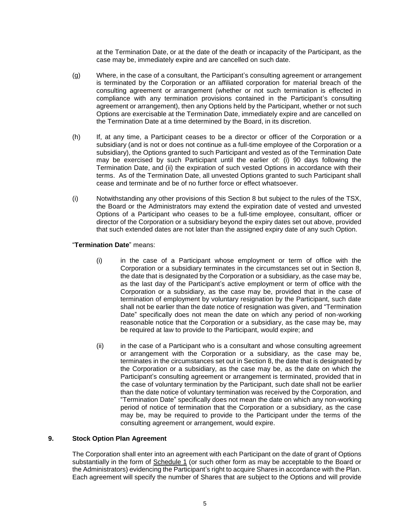at the Termination Date, or at the date of the death or incapacity of the Participant, as the case may be, immediately expire and are cancelled on such date.

- (g) Where, in the case of a consultant, the Participant's consulting agreement or arrangement is terminated by the Corporation or an affiliated corporation for material breach of the consulting agreement or arrangement (whether or not such termination is effected in compliance with any termination provisions contained in the Participant's consulting agreement or arrangement), then any Options held by the Participant, whether or not such Options are exercisable at the Termination Date, immediately expire and are cancelled on the Termination Date at a time determined by the Board, in its discretion.
- (h) If, at any time, a Participant ceases to be a director or officer of the Corporation or a subsidiary (and is not or does not continue as a full-time employee of the Corporation or a subsidiary), the Options granted to such Participant and vested as of the Termination Date may be exercised by such Participant until the earlier of: (i) 90 days following the Termination Date, and (ii) the expiration of such vested Options in accordance with their terms. As of the Termination Date, all unvested Options granted to such Participant shall cease and terminate and be of no further force or effect whatsoever.
- (i) Notwithstanding any other provisions of this Section 8 but subject to the rules of the TSX, the Board or the Administrators may extend the expiration date of vested and unvested Options of a Participant who ceases to be a full-time employee, consultant, officer or director of the Corporation or a subsidiary beyond the expiry dates set out above, provided that such extended dates are not later than the assigned expiry date of any such Option.

## "**Termination Date**" means:

- (i) in the case of a Participant whose employment or term of office with the Corporation or a subsidiary terminates in the circumstances set out in Section 8, the date that is designated by the Corporation or a subsidiary, as the case may be, as the last day of the Participant's active employment or term of office with the Corporation or a subsidiary, as the case may be, provided that in the case of termination of employment by voluntary resignation by the Participant, such date shall not be earlier than the date notice of resignation was given, and "Termination Date" specifically does not mean the date on which any period of non-working reasonable notice that the Corporation or a subsidiary, as the case may be, may be required at law to provide to the Participant, would expire; and
- (ii) in the case of a Participant who is a consultant and whose consulting agreement or arrangement with the Corporation or a subsidiary, as the case may be, terminates in the circumstances set out in Section 8, the date that is designated by the Corporation or a subsidiary, as the case may be, as the date on which the Participant's consulting agreement or arrangement is terminated, provided that in the case of voluntary termination by the Participant, such date shall not be earlier than the date notice of voluntary termination was received by the Corporation, and "Termination Date" specifically does not mean the date on which any non-working period of notice of termination that the Corporation or a subsidiary, as the case may be, may be required to provide to the Participant under the terms of the consulting agreement or arrangement, would expire.

# **9. Stock Option Plan Agreement**

The Corporation shall enter into an agreement with each Participant on the date of grant of Options substantially in the form of Schedule 1 (or such other form as may be acceptable to the Board or the Administrators) evidencing the Participant's right to acquire Shares in accordance with the Plan. Each agreement will specify the number of Shares that are subject to the Options and will provide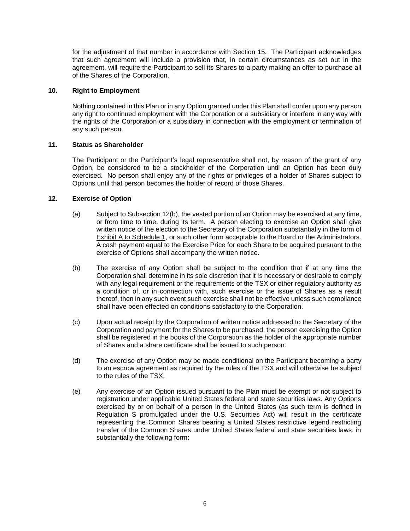for the adjustment of that number in accordance with Section 15. The Participant acknowledges that such agreement will include a provision that, in certain circumstances as set out in the agreement, will require the Participant to sell its Shares to a party making an offer to purchase all of the Shares of the Corporation.

## **10. Right to Employment**

Nothing contained in this Plan or in any Option granted under this Plan shall confer upon any person any right to continued employment with the Corporation or a subsidiary or interfere in any way with the rights of the Corporation or a subsidiary in connection with the employment or termination of any such person.

## **11. Status as Shareholder**

The Participant or the Participant's legal representative shall not, by reason of the grant of any Option, be considered to be a stockholder of the Corporation until an Option has been duly exercised. No person shall enjoy any of the rights or privileges of a holder of Shares subject to Options until that person becomes the holder of record of those Shares.

## **12. Exercise of Option**

- (a) Subject to Subsection 12(b), the vested portion of an Option may be exercised at any time, or from time to time, during its term. A person electing to exercise an Option shall give written notice of the election to the Secretary of the Corporation substantially in the form of Exhibit A to Schedule 1, or such other form acceptable to the Board or the Administrators. A cash payment equal to the Exercise Price for each Share to be acquired pursuant to the exercise of Options shall accompany the written notice.
- (b) The exercise of any Option shall be subject to the condition that if at any time the Corporation shall determine in its sole discretion that it is necessary or desirable to comply with any legal requirement or the requirements of the TSX or other regulatory authority as a condition of, or in connection with, such exercise or the issue of Shares as a result thereof, then in any such event such exercise shall not be effective unless such compliance shall have been effected on conditions satisfactory to the Corporation.
- (c) Upon actual receipt by the Corporation of written notice addressed to the Secretary of the Corporation and payment for the Shares to be purchased, the person exercising the Option shall be registered in the books of the Corporation as the holder of the appropriate number of Shares and a share certificate shall be issued to such person.
- (d) The exercise of any Option may be made conditional on the Participant becoming a party to an escrow agreement as required by the rules of the TSX and will otherwise be subject to the rules of the TSX.
- (e) Any exercise of an Option issued pursuant to the Plan must be exempt or not subject to registration under applicable United States federal and state securities laws. Any Options exercised by or on behalf of a person in the United States (as such term is defined in Regulation S promulgated under the U.S. Securities Act) will result in the certificate representing the Common Shares bearing a United States restrictive legend restricting transfer of the Common Shares under United States federal and state securities laws, in substantially the following form: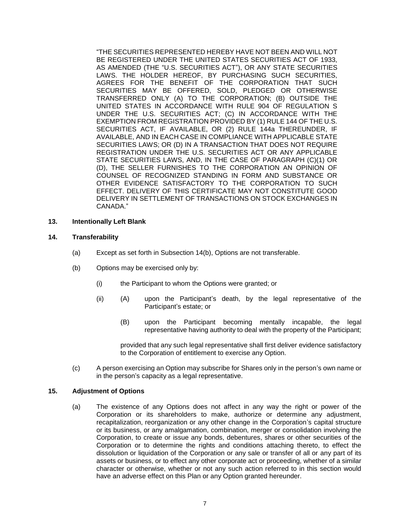"THE SECURITIES REPRESENTED HEREBY HAVE NOT BEEN AND WILL NOT BE REGISTERED UNDER THE UNITED STATES SECURITIES ACT OF 1933, AS AMENDED (THE "U.S. SECURITIES ACT"), OR ANY STATE SECURITIES LAWS. THE HOLDER HEREOF, BY PURCHASING SUCH SECURITIES, AGREES FOR THE BENEFIT OF THE CORPORATION THAT SUCH SECURITIES MAY BE OFFERED, SOLD, PLEDGED OR OTHERWISE TRANSFERRED ONLY (A) TO THE CORPORATION; (B) OUTSIDE THE UNITED STATES IN ACCORDANCE WITH RULE 904 OF REGULATION S UNDER THE U.S. SECURITIES ACT; (C) IN ACCORDANCE WITH THE EXEMPTION FROM REGISTRATION PROVIDED BY (1) RULE 144 OF THE U.S. SECURITIES ACT, IF AVAILABLE, OR (2) RULE 144a THEREUNDER, IF AVAILABLE, AND IN EACH CASE IN COMPLIANCE WITH APPLICABLE STATE SECURITIES LAWS; OR (D) IN A TRANSACTION THAT DOES NOT REQUIRE REGISTRATION UNDER THE U.S. SECURITIES ACT OR ANY APPLICABLE STATE SECURITIES LAWS, AND, IN THE CASE OF PARAGRAPH (C)(1) OR (D), THE SELLER FURNISHES TO THE CORPORATION AN OPINION OF COUNSEL OF RECOGNIZED STANDING IN FORM AND SUBSTANCE OR OTHER EVIDENCE SATISFACTORY TO THE CORPORATION TO SUCH EFFECT. DELIVERY OF THIS CERTIFICATE MAY NOT CONSTITUTE GOOD DELIVERY IN SETTLEMENT OF TRANSACTIONS ON STOCK EXCHANGES IN CANADA."

#### **13. Intentionally Left Blank**

#### **14. Transferability**

- (a) Except as set forth in Subsection 14(b), Options are not transferable.
- (b) Options may be exercised only by:
	- (i) the Participant to whom the Options were granted; or
	- (ii) (A) upon the Participant's death, by the legal representative of the Participant's estate; or
		- (B) upon the Participant becoming mentally incapable, the legal representative having authority to deal with the property of the Participant;

provided that any such legal representative shall first deliver evidence satisfactory to the Corporation of entitlement to exercise any Option.

(c) A person exercising an Option may subscribe for Shares only in the person's own name or in the person's capacity as a legal representative.

#### **15. Adjustment of Options**

(a) The existence of any Options does not affect in any way the right or power of the Corporation or its shareholders to make, authorize or determine any adjustment, recapitalization, reorganization or any other change in the Corporation's capital structure or its business, or any amalgamation, combination, merger or consolidation involving the Corporation, to create or issue any bonds, debentures, shares or other securities of the Corporation or to determine the rights and conditions attaching thereto, to effect the dissolution or liquidation of the Corporation or any sale or transfer of all or any part of its assets or business, or to effect any other corporate act or proceeding, whether of a similar character or otherwise, whether or not any such action referred to in this section would have an adverse effect on this Plan or any Option granted hereunder.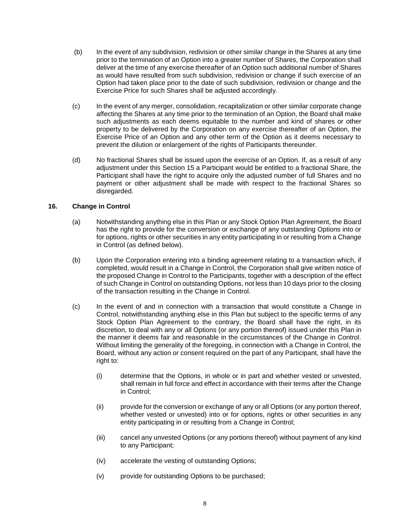- (b) In the event of any subdivision, redivision or other similar change in the Shares at any time prior to the termination of an Option into a greater number of Shares, the Corporation shall deliver at the time of any exercise thereafter of an Option such additional number of Shares as would have resulted from such subdivision, redivision or change if such exercise of an Option had taken place prior to the date of such subdivision, redivision or change and the Exercise Price for such Shares shall be adjusted accordingly.
- (c) In the event of any merger, consolidation, recapitalization or other similar corporate change affecting the Shares at any time prior to the termination of an Option, the Board shall make such adjustments as each deems equitable to the number and kind of shares or other property to be delivered by the Corporation on any exercise thereafter of an Option, the Exercise Price of an Option and any other term of the Option as it deems necessary to prevent the dilution or enlargement of the rights of Participants thereunder.
- (d) No fractional Shares shall be issued upon the exercise of an Option. If, as a result of any adjustment under this Section 15 a Participant would be entitled to a fractional Share, the Participant shall have the right to acquire only the adjusted number of full Shares and no payment or other adjustment shall be made with respect to the fractional Shares so disregarded.

# **16. Change in Control**

- (a) Notwithstanding anything else in this Plan or any Stock Option Plan Agreement, the Board has the right to provide for the conversion or exchange of any outstanding Options into or for options, rights or other securities in any entity participating in or resulting from a Change in Control (as defined below).
- (b) Upon the Corporation entering into a binding agreement relating to a transaction which, if completed, would result in a Change in Control, the Corporation shall give written notice of the proposed Change in Control to the Participants, together with a description of the effect of such Change in Control on outstanding Options, not less than 10 days prior to the closing of the transaction resulting in the Change in Control.
- (c) In the event of and in connection with a transaction that would constitute a Change in Control, notwithstanding anything else in this Plan but subject to the specific terms of any Stock Option Plan Agreement to the contrary, the Board shall have the right, in its discretion, to deal with any or all Options (or any portion thereof) issued under this Plan in the manner it deems fair and reasonable in the circumstances of the Change in Control. Without limiting the generality of the foregoing, in connection with a Change in Control, the Board, without any action or consent required on the part of any Participant, shall have the right to:
	- (i) determine that the Options, in whole or in part and whether vested or unvested, shall remain in full force and effect in accordance with their terms after the Change in Control;
	- (ii) provide for the conversion or exchange of any or all Options (or any portion thereof, whether vested or unvested) into or for options, rights or other securities in any entity participating in or resulting from a Change in Control;
	- (iii) cancel any unvested Options (or any portions thereof) without payment of any kind to any Participant;
	- (iv) accelerate the vesting of outstanding Options;
	- (v) provide for outstanding Options to be purchased;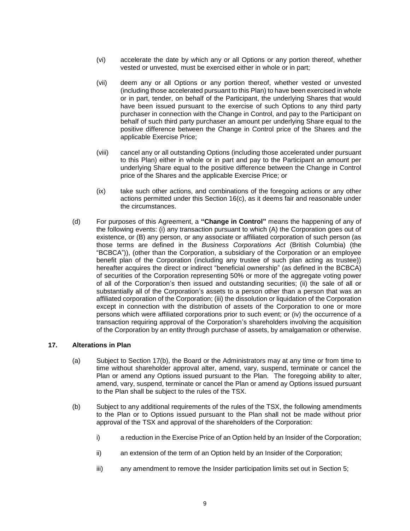- (vi) accelerate the date by which any or all Options or any portion thereof, whether vested or unvested, must be exercised either in whole or in part;
- (vii) deem any or all Options or any portion thereof, whether vested or unvested (including those accelerated pursuant to this Plan) to have been exercised in whole or in part, tender, on behalf of the Participant, the underlying Shares that would have been issued pursuant to the exercise of such Options to any third party purchaser in connection with the Change in Control, and pay to the Participant on behalf of such third party purchaser an amount per underlying Share equal to the positive difference between the Change in Control price of the Shares and the applicable Exercise Price;
- (viii) cancel any or all outstanding Options (including those accelerated under pursuant to this Plan) either in whole or in part and pay to the Participant an amount per underlying Share equal to the positive difference between the Change in Control price of the Shares and the applicable Exercise Price; or
- (ix) take such other actions, and combinations of the foregoing actions or any other actions permitted under this Section 16(c), as it deems fair and reasonable under the circumstances.
- (d) For purposes of this Agreement, a **"Change in Control"** means the happening of any of the following events: (i) any transaction pursuant to which (A) the Corporation goes out of existence, or (B) any person, or any associate or affiliated corporation of such person (as those terms are defined in the *Business Corporations Act* (British Columbia) (the "BCBCA")), (other than the Corporation, a subsidiary of the Corporation or an employee benefit plan of the Corporation (including any trustee of such plan acting as trustee)) hereafter acquires the direct or indirect "beneficial ownership" (as defined in the BCBCA) of securities of the Corporation representing 50% or more of the aggregate voting power of all of the Corporation's then issued and outstanding securities; (ii) the sale of all or substantially all of the Corporation's assets to a person other than a person that was an affiliated corporation of the Corporation; (iii) the dissolution or liquidation of the Corporation except in connection with the distribution of assets of the Corporation to one or more persons which were affiliated corporations prior to such event; or (iv) the occurrence of a transaction requiring approval of the Corporation's shareholders involving the acquisition of the Corporation by an entity through purchase of assets, by amalgamation or otherwise.

#### **17. Alterations in Plan**

- (a) Subject to Section 17(b), the Board or the Administrators may at any time or from time to time without shareholder approval alter, amend, vary, suspend, terminate or cancel the Plan or amend any Options issued pursuant to the Plan. The foregoing ability to alter, amend, vary, suspend, terminate or cancel the Plan or amend ay Options issued pursuant to the Plan shall be subject to the rules of the TSX.
- (b) Subject to any additional requirements of the rules of the TSX, the following amendments to the Plan or to Options issued pursuant to the Plan shall not be made without prior approval of the TSX and approval of the shareholders of the Corporation:
	- i) a reduction in the Exercise Price of an Option held by an Insider of the Corporation;
	- ii) an extension of the term of an Option held by an Insider of the Corporation;
	- iii) any amendment to remove the Insider participation limits set out in Section 5;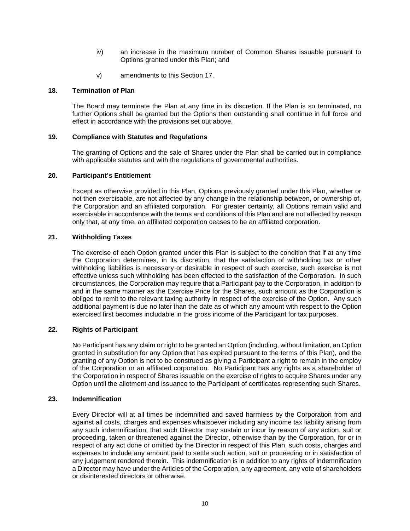- iv) an increase in the maximum number of Common Shares issuable pursuant to Options granted under this Plan; and
- v) amendments to this Section 17.

## **18. Termination of Plan**

The Board may terminate the Plan at any time in its discretion. If the Plan is so terminated, no further Options shall be granted but the Options then outstanding shall continue in full force and effect in accordance with the provisions set out above.

## **19. Compliance with Statutes and Regulations**

The granting of Options and the sale of Shares under the Plan shall be carried out in compliance with applicable statutes and with the regulations of governmental authorities.

#### **20. Participant's Entitlement**

Except as otherwise provided in this Plan, Options previously granted under this Plan, whether or not then exercisable, are not affected by any change in the relationship between, or ownership of, the Corporation and an affiliated corporation. For greater certainty, all Options remain valid and exercisable in accordance with the terms and conditions of this Plan and are not affected by reason only that, at any time, an affiliated corporation ceases to be an affiliated corporation.

## **21. Withholding Taxes**

The exercise of each Option granted under this Plan is subject to the condition that if at any time the Corporation determines, in its discretion, that the satisfaction of withholding tax or other withholding liabilities is necessary or desirable in respect of such exercise, such exercise is not effective unless such withholding has been effected to the satisfaction of the Corporation. In such circumstances, the Corporation may require that a Participant pay to the Corporation, in addition to and in the same manner as the Exercise Price for the Shares, such amount as the Corporation is obliged to remit to the relevant taxing authority in respect of the exercise of the Option. Any such additional payment is due no later than the date as of which any amount with respect to the Option exercised first becomes includable in the gross income of the Participant for tax purposes.

# **22. Rights of Participant**

No Participant has any claim or right to be granted an Option (including, without limitation, an Option granted in substitution for any Option that has expired pursuant to the terms of this Plan), and the granting of any Option is not to be construed as giving a Participant a right to remain in the employ of the Corporation or an affiliated corporation. No Participant has any rights as a shareholder of the Corporation in respect of Shares issuable on the exercise of rights to acquire Shares under any Option until the allotment and issuance to the Participant of certificates representing such Shares.

#### **23. Indemnification**

Every Director will at all times be indemnified and saved harmless by the Corporation from and against all costs, charges and expenses whatsoever including any income tax liability arising from any such indemnification, that such Director may sustain or incur by reason of any action, suit or proceeding, taken or threatened against the Director, otherwise than by the Corporation, for or in respect of any act done or omitted by the Director in respect of this Plan, such costs, charges and expenses to include any amount paid to settle such action, suit or proceeding or in satisfaction of any judgement rendered therein. This indemnification is in addition to any rights of indemnification a Director may have under the Articles of the Corporation, any agreement, any vote of shareholders or disinterested directors or otherwise.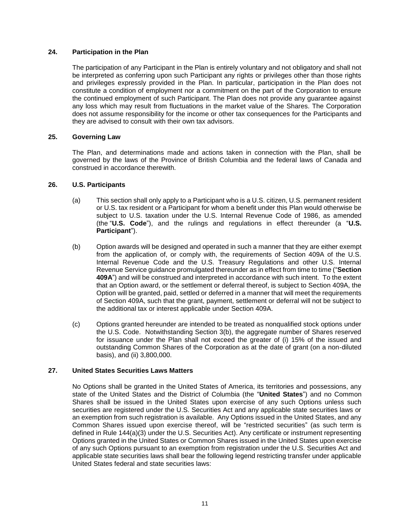### **24. Participation in the Plan**

The participation of any Participant in the Plan is entirely voluntary and not obligatory and shall not be interpreted as conferring upon such Participant any rights or privileges other than those rights and privileges expressly provided in the Plan. In particular, participation in the Plan does not constitute a condition of employment nor a commitment on the part of the Corporation to ensure the continued employment of such Participant. The Plan does not provide any guarantee against any loss which may result from fluctuations in the market value of the Shares. The Corporation does not assume responsibility for the income or other tax consequences for the Participants and they are advised to consult with their own tax advisors.

## **25. Governing Law**

The Plan, and determinations made and actions taken in connection with the Plan, shall be governed by the laws of the Province of British Columbia and the federal laws of Canada and construed in accordance therewith.

## **26. U.S. Participants**

- (a) This section shall only apply to a Participant who is a U.S. citizen, U.S. permanent resident or U.S. tax resident or a Participant for whom a benefit under this Plan would otherwise be subject to U.S. taxation under the U.S. Internal Revenue Code of 1986, as amended (the "**U.S. Code**"), and the rulings and regulations in effect thereunder (a "**U.S. Participant**").
- (b) Option awards will be designed and operated in such a manner that they are either exempt from the application of, or comply with, the requirements of Section 409A of the U.S. Internal Revenue Code and the U.S. Treasury Regulations and other U.S. Internal Revenue Service guidance promulgated thereunder as in effect from time to time ("**Section 409A**") and will be construed and interpreted in accordance with such intent. To the extent that an Option award, or the settlement or deferral thereof, is subject to Section 409A, the Option will be granted, paid, settled or deferred in a manner that will meet the requirements of Section 409A, such that the grant, payment, settlement or deferral will not be subject to the additional tax or interest applicable under Section 409A.
- (c) Options granted hereunder are intended to be treated as nonqualified stock options under the U.S. Code. Notwithstanding Section 3(b), the aggregate number of Shares reserved for issuance under the Plan shall not exceed the greater of (i) 15% of the issued and outstanding Common Shares of the Corporation as at the date of grant (on a non-diluted basis), and (ii) 3,800,000.

#### **27. United States Securities Laws Matters**

No Options shall be granted in the United States of America, its territories and possessions, any state of the United States and the District of Columbia (the "**United States**") and no Common Shares shall be issued in the United States upon exercise of any such Options unless such securities are registered under the U.S. Securities Act and any applicable state securities laws or an exemption from such registration is available. Any Options issued in the United States, and any Common Shares issued upon exercise thereof, will be "restricted securities" (as such term is defined in Rule 144(a)(3) under the U.S. Securities Act). Any certificate or instrument representing Options granted in the United States or Common Shares issued in the United States upon exercise of any such Options pursuant to an exemption from registration under the U.S. Securities Act and applicable state securities laws shall bear the following legend restricting transfer under applicable United States federal and state securities laws: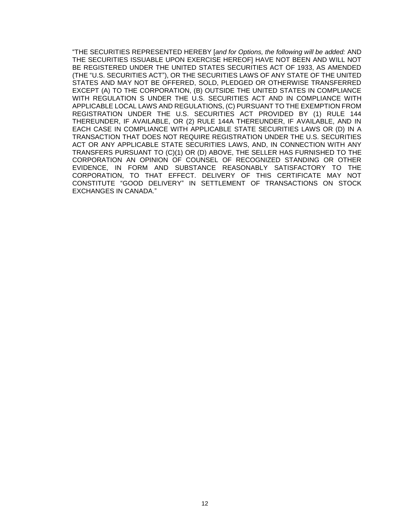"THE SECURITIES REPRESENTED HEREBY [*and for Options, the following will be added:* AND THE SECURITIES ISSUABLE UPON EXERCISE HEREOF] HAVE NOT BEEN AND WILL NOT BE REGISTERED UNDER THE UNITED STATES SECURITIES ACT OF 1933, AS AMENDED (THE "U.S. SECURITIES ACT"), OR THE SECURITIES LAWS OF ANY STATE OF THE UNITED STATES AND MAY NOT BE OFFERED, SOLD, PLEDGED OR OTHERWISE TRANSFERRED EXCEPT (A) TO THE CORPORATION, (B) OUTSIDE THE UNITED STATES IN COMPLIANCE WITH REGULATION S UNDER THE U.S. SECURITIES ACT AND IN COMPLIANCE WITH APPLICABLE LOCAL LAWS AND REGULATIONS, (C) PURSUANT TO THE EXEMPTION FROM REGISTRATION UNDER THE U.S. SECURITIES ACT PROVIDED BY (1) RULE 144 THEREUNDER, IF AVAILABLE, OR (2) RULE 144A THEREUNDER, IF AVAILABLE, AND IN EACH CASE IN COMPLIANCE WITH APPLICABLE STATE SECURITIES LAWS OR (D) IN A TRANSACTION THAT DOES NOT REQUIRE REGISTRATION UNDER THE U.S. SECURITIES ACT OR ANY APPLICABLE STATE SECURITIES LAWS, AND, IN CONNECTION WITH ANY TRANSFERS PURSUANT TO (C)(1) OR (D) ABOVE, THE SELLER HAS FURNISHED TO THE CORPORATION AN OPINION OF COUNSEL OF RECOGNIZED STANDING OR OTHER EVIDENCE, IN FORM AND SUBSTANCE REASONABLY SATISFACTORY TO THE CORPORATION, TO THAT EFFECT. DELIVERY OF THIS CERTIFICATE MAY NOT CONSTITUTE "GOOD DELIVERY" IN SETTLEMENT OF TRANSACTIONS ON STOCK EXCHANGES IN CANADA."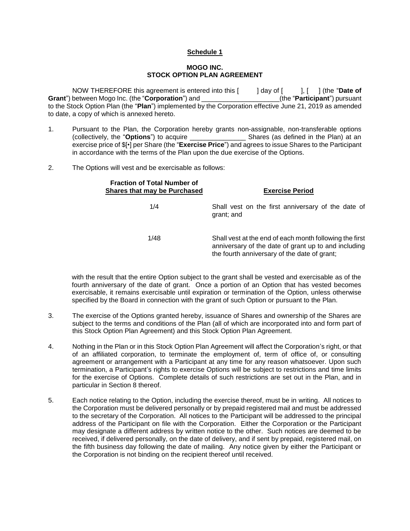## **Schedule 1**

#### **MOGO INC. STOCK OPTION PLAN AGREEMENT**

NOW THEREFORE this agreement is entered into this [ ] day of [ ], [ ] (the "**Date of Grant**") between Mogo Inc. (the "**Corporation**") and \_\_\_\_\_\_\_\_\_\_\_\_\_\_\_\_\_\_\_\_\_(the "**Participant**") pursuant to the Stock Option Plan (the "**Plan**") implemented by the Corporation effective June 21, 2019 as amended to date, a copy of which is annexed hereto.

- 1. Pursuant to the Plan, the Corporation hereby grants non-assignable, non-transferable options<br>(collectively, the "**Options**") to acquire **Shares** (as defined in the Plan) at an (collectively, the "**Options**") to acquire exercise price of \$[•] per Share (the "**Exercise Price**") and agrees to issue Shares to the Participant in accordance with the terms of the Plan upon the due exercise of the Options.
- 2. The Options will vest and be exercisable as follows:

| <b>Fraction of Total Number of</b><br>Shares that may be Purchased | <b>Exercise Period</b>                                                                                                                                          |
|--------------------------------------------------------------------|-----------------------------------------------------------------------------------------------------------------------------------------------------------------|
| 1/4                                                                | Shall vest on the first anniversary of the date of<br>grant; and                                                                                                |
| 1/48                                                               | Shall vest at the end of each month following the first<br>anniversary of the date of grant up to and including<br>the fourth anniversary of the date of grant; |

with the result that the entire Option subject to the grant shall be vested and exercisable as of the fourth anniversary of the date of grant. Once a portion of an Option that has vested becomes exercisable, it remains exercisable until expiration or termination of the Option, unless otherwise specified by the Board in connection with the grant of such Option or pursuant to the Plan.

- 3. The exercise of the Options granted hereby, issuance of Shares and ownership of the Shares are subject to the terms and conditions of the Plan (all of which are incorporated into and form part of this Stock Option Plan Agreement) and this Stock Option Plan Agreement.
- 4. Nothing in the Plan or in this Stock Option Plan Agreement will affect the Corporation's right, or that of an affiliated corporation, to terminate the employment of, term of office of, or consulting agreement or arrangement with a Participant at any time for any reason whatsoever. Upon such termination, a Participant's rights to exercise Options will be subject to restrictions and time limits for the exercise of Options. Complete details of such restrictions are set out in the Plan, and in particular in Section 8 thereof.
- 5. Each notice relating to the Option, including the exercise thereof, must be in writing. All notices to the Corporation must be delivered personally or by prepaid registered mail and must be addressed to the secretary of the Corporation. All notices to the Participant will be addressed to the principal address of the Participant on file with the Corporation. Either the Corporation or the Participant may designate a different address by written notice to the other. Such notices are deemed to be received, if delivered personally, on the date of delivery, and if sent by prepaid, registered mail, on the fifth business day following the date of mailing. Any notice given by either the Participant or the Corporation is not binding on the recipient thereof until received.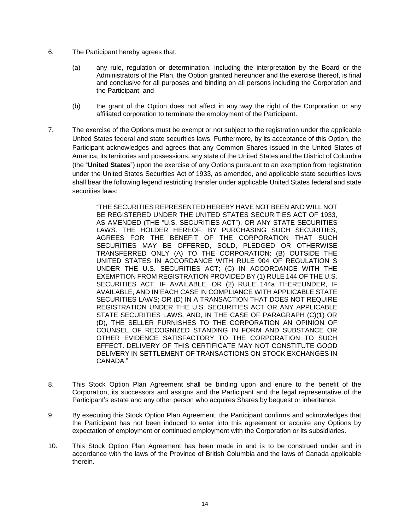- 6. The Participant hereby agrees that:
	- (a) any rule, regulation or determination, including the interpretation by the Board or the Administrators of the Plan, the Option granted hereunder and the exercise thereof, is final and conclusive for all purposes and binding on all persons including the Corporation and the Participant; and
	- (b) the grant of the Option does not affect in any way the right of the Corporation or any affiliated corporation to terminate the employment of the Participant.
- 7. The exercise of the Options must be exempt or not subject to the registration under the applicable United States federal and state securities laws. Furthermore, by its acceptance of this Option, the Participant acknowledges and agrees that any Common Shares issued in the United States of America, its territories and possessions, any state of the United States and the District of Columbia (the "**United States**") upon the exercise of any Options pursuant to an exemption from registration under the United States Securities Act of 1933, as amended, and applicable state securities laws shall bear the following legend restricting transfer under applicable United States federal and state securities laws:

"THE SECURITIES REPRESENTED HEREBY HAVE NOT BEEN AND WILL NOT BE REGISTERED UNDER THE UNITED STATES SECURITIES ACT OF 1933, AS AMENDED (THE "U.S. SECURITIES ACT"), OR ANY STATE SECURITIES LAWS. THE HOLDER HEREOF, BY PURCHASING SUCH SECURITIES, AGREES FOR THE BENEFIT OF THE CORPORATION THAT SUCH SECURITIES MAY BE OFFERED, SOLD, PLEDGED OR OTHERWISE TRANSFERRED ONLY (A) TO THE CORPORATION; (B) OUTSIDE THE UNITED STATES IN ACCORDANCE WITH RULE 904 OF REGULATION S UNDER THE U.S. SECURITIES ACT; (C) IN ACCORDANCE WITH THE EXEMPTION FROM REGISTRATION PROVIDED BY (1) RULE 144 OF THE U.S. SECURITIES ACT, IF AVAILABLE, OR (2) RULE 144a THEREUNDER, IF AVAILABLE, AND IN EACH CASE IN COMPLIANCE WITH APPLICABLE STATE SECURITIES LAWS; OR (D) IN A TRANSACTION THAT DOES NOT REQUIRE REGISTRATION UNDER THE U.S. SECURITIES ACT OR ANY APPLICABLE STATE SECURITIES LAWS, AND, IN THE CASE OF PARAGRAPH (C)(1) OR (D), THE SELLER FURNISHES TO THE CORPORATION AN OPINION OF COUNSEL OF RECOGNIZED STANDING IN FORM AND SUBSTANCE OR OTHER EVIDENCE SATISFACTORY TO THE CORPORATION TO SUCH EFFECT. DELIVERY OF THIS CERTIFICATE MAY NOT CONSTITUTE GOOD DELIVERY IN SETTLEMENT OF TRANSACTIONS ON STOCK EXCHANGES IN CANADA."

- 8. This Stock Option Plan Agreement shall be binding upon and enure to the benefit of the Corporation, its successors and assigns and the Participant and the legal representative of the Participant's estate and any other person who acquires Shares by bequest or inheritance.
- 9. By executing this Stock Option Plan Agreement, the Participant confirms and acknowledges that the Participant has not been induced to enter into this agreement or acquire any Options by expectation of employment or continued employment with the Corporation or its subsidiaries.
- 10. This Stock Option Plan Agreement has been made in and is to be construed under and in accordance with the laws of the Province of British Columbia and the laws of Canada applicable therein.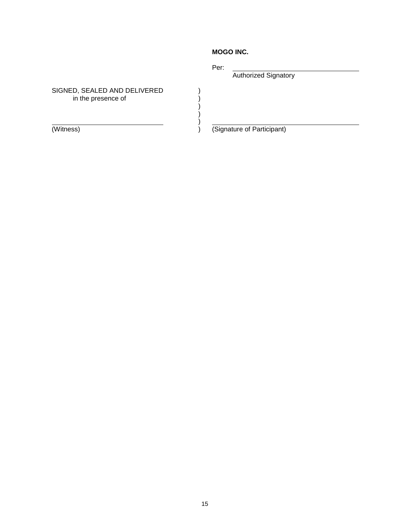# **MOGO INC.**

Per:

) ) ) ) ) Authorized Signatory

SIGNED, SEALED AND DELIVERED in the presence of

(Witness)

) (Signature of Participant)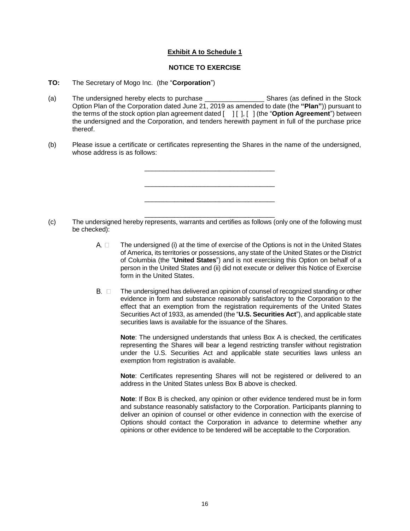# **Exhibit A to Schedule 1**

## **NOTICE TO EXERCISE**

## **TO:** The Secretary of Mogo Inc. (the "**Corporation**")

- (a) The undersigned hereby elects to purchase **Example 20** Shares (as defined in the Stock Option Plan of the Corporation dated June 21, 2019 as amended to date (the **"Plan"**)) pursuant to the terms of the stock option plan agreement dated [ ] [ ], [ ] (the "**Option Agreement**") between the undersigned and the Corporation, and tenders herewith payment in full of the purchase price thereof.
- (b) Please issue a certificate or certificates representing the Shares in the name of the undersigned, whose address is as follows:



- (c) The undersigned hereby represents, warrants and certifies as follows (only one of the following must be checked):
	- $A. \Box$ The undersigned (i) at the time of exercise of the Options is not in the United States of America, its territories or possessions, any state of the United States or the District of Columbia (the "**United States**") and is not exercising this Option on behalf of a person in the United States and (ii) did not execute or deliver this Notice of Exercise form in the United States.
	- $B.$   $\square$ The undersigned has delivered an opinion of counsel of recognized standing or other evidence in form and substance reasonably satisfactory to the Corporation to the effect that an exemption from the registration requirements of the United States Securities Act of 1933, as amended (the "**U.S. Securities Act**"), and applicable state securities laws is available for the issuance of the Shares.

**Note**: The undersigned understands that unless Box A is checked, the certificates representing the Shares will bear a legend restricting transfer without registration under the U.S. Securities Act and applicable state securities laws unless an exemption from registration is available.

**Note**: Certificates representing Shares will not be registered or delivered to an address in the United States unless Box B above is checked.

**Note**: If Box B is checked, any opinion or other evidence tendered must be in form and substance reasonably satisfactory to the Corporation. Participants planning to deliver an opinion of counsel or other evidence in connection with the exercise of Options should contact the Corporation in advance to determine whether any opinions or other evidence to be tendered will be acceptable to the Corporation.